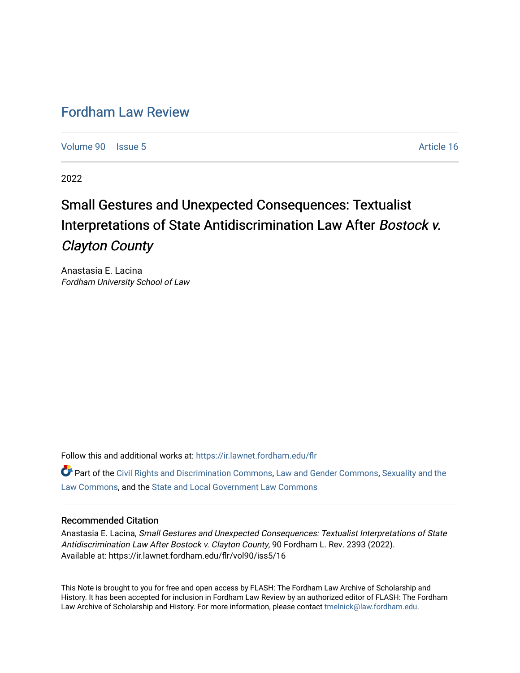# [Fordham Law Review](https://ir.lawnet.fordham.edu/flr)

[Volume 90](https://ir.lawnet.fordham.edu/flr/vol90) | [Issue 5](https://ir.lawnet.fordham.edu/flr/vol90/iss5) Article 16

2022

# Small Gestures and Unexpected Consequences: Textualist Interpretations of State Antidiscrimination Law After Bostock v. Clayton County

Anastasia E. Lacina Fordham University School of Law

Follow this and additional works at: [https://ir.lawnet.fordham.edu/flr](https://ir.lawnet.fordham.edu/flr?utm_source=ir.lawnet.fordham.edu%2Fflr%2Fvol90%2Fiss5%2F16&utm_medium=PDF&utm_campaign=PDFCoverPages)

**C** Part of the [Civil Rights and Discrimination Commons,](http://network.bepress.com/hgg/discipline/585?utm_source=ir.lawnet.fordham.edu%2Fflr%2Fvol90%2Fiss5%2F16&utm_medium=PDF&utm_campaign=PDFCoverPages) [Law and Gender Commons,](http://network.bepress.com/hgg/discipline/1298?utm_source=ir.lawnet.fordham.edu%2Fflr%2Fvol90%2Fiss5%2F16&utm_medium=PDF&utm_campaign=PDFCoverPages) Sexuality and the [Law Commons,](http://network.bepress.com/hgg/discipline/877?utm_source=ir.lawnet.fordham.edu%2Fflr%2Fvol90%2Fiss5%2F16&utm_medium=PDF&utm_campaign=PDFCoverPages) and the [State and Local Government Law Commons](http://network.bepress.com/hgg/discipline/879?utm_source=ir.lawnet.fordham.edu%2Fflr%2Fvol90%2Fiss5%2F16&utm_medium=PDF&utm_campaign=PDFCoverPages) 

## Recommended Citation

Anastasia E. Lacina, Small Gestures and Unexpected Consequences: Textualist Interpretations of State Antidiscrimination Law After Bostock v. Clayton County, 90 Fordham L. Rev. 2393 (2022). Available at: https://ir.lawnet.fordham.edu/flr/vol90/iss5/16

This Note is brought to you for free and open access by FLASH: The Fordham Law Archive of Scholarship and History. It has been accepted for inclusion in Fordham Law Review by an authorized editor of FLASH: The Fordham Law Archive of Scholarship and History. For more information, please contact [tmelnick@law.fordham.edu](mailto:tmelnick@law.fordham.edu).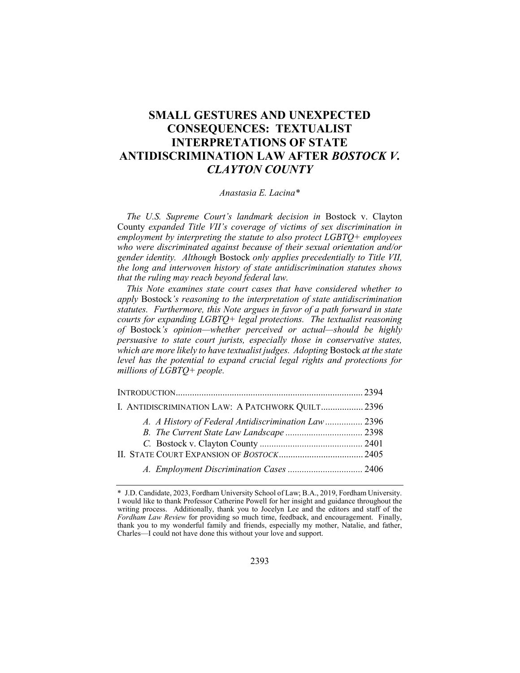# SMALL GESTURES AND UNEXPECTED CONSEQUENCES: TEXTUALIST INTERPRETATIONS OF STATE ANTIDISCRIMINATION LAW AFTER BOSTOCK V. CLAYTON COUNTY

#### Anastasia E. Lacina\*

The U.S. Supreme Court's landmark decision in Bostock v. Clayton County expanded Title VII's coverage of victims of sex discrimination in employment by interpreting the statute to also protect  $LGBTQ+$  employees who were discriminated against because of their sexual orientation and/or gender identity. Although Bostock only applies precedentially to Title VII, the long and interwoven history of state antidiscrimination statutes shows that the ruling may reach beyond federal law.

This Note examines state court cases that have considered whether to apply Bostock's reasoning to the interpretation of state antidiscrimination statutes. Furthermore, this Note argues in favor of a path forward in state courts for expanding LGBTQ+ legal protections. The textualist reasoning of Bostock's opinion—whether perceived or actual—should be highly persuasive to state court jurists, especially those in conservative states, which are more likely to have textualist judges. Adopting Bostock at the state level has the potential to expand crucial legal rights and protections for millions of LGBTQ+ people.

| I. ANTIDISCRIMINATION LAW: A PATCHWORK QUILT 2396   |  |
|-----------------------------------------------------|--|
| A. A History of Federal Antidiscrimination Law 2396 |  |
|                                                     |  |
|                                                     |  |
|                                                     |  |
|                                                     |  |

<sup>\*</sup> J.D. Candidate, 2023, Fordham University School of Law; B.A., 2019, Fordham University. I would like to thank Professor Catherine Powell for her insight and guidance throughout the writing process. Additionally, thank you to Jocelyn Lee and the editors and staff of the Fordham Law Review for providing so much time, feedback, and encouragement. Finally, thank you to my wonderful family and friends, especially my mother, Natalie, and father, Charles—I could not have done this without your love and support.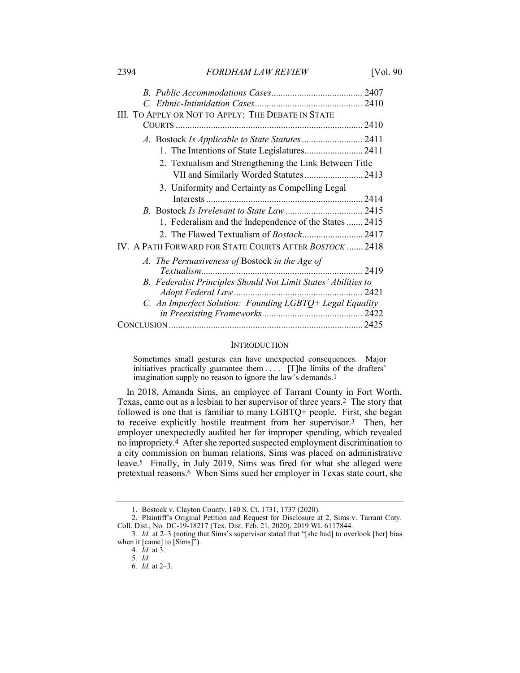2394 FORDHAM LAW REVIEW [Vol. 90]

| III. TO APPLY OR NOT TO APPLY: THE DEBATE IN STATE             |      |
|----------------------------------------------------------------|------|
|                                                                |      |
|                                                                |      |
|                                                                |      |
| 2. Textualism and Strengthening the Link Between Title         |      |
| VII and Similarly Worded Statutes 2413                         |      |
| 3. Uniformity and Certainty as Compelling Legal                |      |
|                                                                |      |
|                                                                |      |
| 1. Federalism and the Independence of the States  2415         |      |
|                                                                |      |
| IV. A PATH FORWARD FOR STATE COURTS AFTER BOSTOCK  2418        |      |
| A. The Persuasiveness of Bostock in the Age of                 |      |
| Textualism.                                                    | 2419 |
| B. Federalist Principles Should Not Limit States' Abilities to |      |
|                                                                | 2421 |
| C. An Imperfect Solution: Founding LGBTQ+ Legal Equality       |      |
|                                                                |      |
|                                                                |      |

#### **INTRODUCTION**

Sometimes small gestures can have unexpected consequences. Major initiatives practically guarantee them . . . . [T]he limits of the drafters' imagination supply no reason to ignore the law's demands.1

In 2018, Amanda Sims, an employee of Tarrant County in Fort Worth, Texas, came out as a lesbian to her supervisor of three years.2 The story that followed is one that is familiar to many LGBTQ+ people. First, she began to receive explicitly hostile treatment from her supervisor.3 Then, her employer unexpectedly audited her for improper spending, which revealed no impropriety.4 After she reported suspected employment discrimination to a city commission on human relations, Sims was placed on administrative leave.5 Finally, in July 2019, Sims was fired for what she alleged were pretextual reasons.6 When Sims sued her employer in Texas state court, she

 <sup>1.</sup> Bostock v. Clayton County, 140 S. Ct. 1731, 1737 (2020).

 <sup>2.</sup> Plaintiff's Original Petition and Request for Disclosure at 2, Sims v. Tarrant Cnty. Coll. Dist., No. DC-19-18217 (Tex. Dist. Feb. 21, 2020), 2019 WL 6117844.

<sup>3</sup>. Id. at 2–3 (noting that Sims's supervisor stated that "[she had] to overlook [her] bias when it  $[{\text{came}}]$  to  $[{\text{Sims}}]$ ").

<sup>4</sup>. Id. at 3.

<sup>5</sup>. Id.

<sup>6</sup>. Id. at 2–3.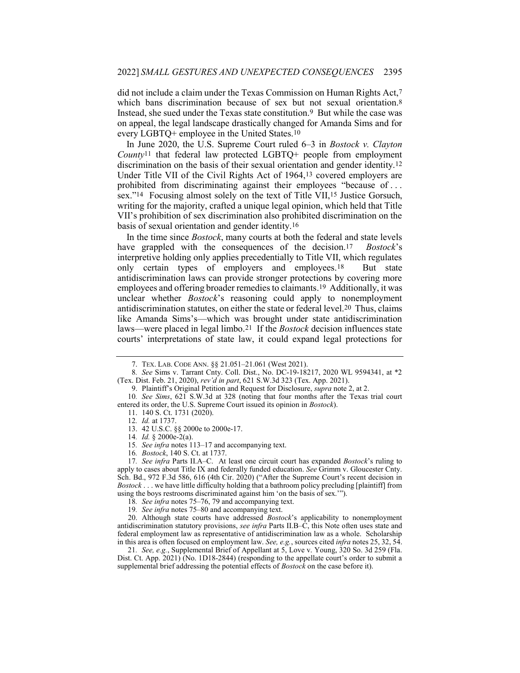did not include a claim under the Texas Commission on Human Rights Act,7 which bans discrimination because of sex but not sexual orientation.<sup>8</sup> Instead, she sued under the Texas state constitution.9 But while the case was on appeal, the legal landscape drastically changed for Amanda Sims and for every LGBTQ+ employee in the United States.10

In June 2020, the U.S. Supreme Court ruled 6–3 in Bostock v. Clayton  $County^{11}$  that federal law protected LGBTQ+ people from employment discrimination on the basis of their sexual orientation and gender identity.12 Under Title VII of the Civil Rights Act of 1964,13 covered employers are prohibited from discriminating against their employees "because of . . . sex."14 Focusing almost solely on the text of Title VII,15 Justice Gorsuch, writing for the majority, crafted a unique legal opinion, which held that Title VII's prohibition of sex discrimination also prohibited discrimination on the basis of sexual orientation and gender identity.16

In the time since Bostock, many courts at both the federal and state levels have grappled with the consequences of the decision.<sup>17</sup> Bostock's interpretive holding only applies precedentially to Title VII, which regulates only certain types of employers and employees.<sup>18</sup> But state antidiscrimination laws can provide stronger protections by covering more employees and offering broader remedies to claimants.19 Additionally, it was unclear whether *Bostock*'s reasoning could apply to nonemployment antidiscrimination statutes, on either the state or federal level.20 Thus, claims like Amanda Sims's—which was brought under state antidiscrimination laws—were placed in legal limbo.<sup>21</sup> If the *Bostock* decision influences state courts' interpretations of state law, it could expand legal protections for

17. See infra Parts II.A-C. At least one circuit court has expanded Bostock's ruling to apply to cases about Title IX and federally funded education. See Grimm v. Gloucester Cnty. Sch. Bd., 972 F.3d 586, 616 (4th Cir. 2020) ("After the Supreme Court's recent decision in Bostock . . . we have little difficulty holding that a bathroom policy precluding [plaintiff] from using the boys restrooms discriminated against him 'on the basis of sex.'").

18. See infra notes 75–76, 79 and accompanying text.

19. See infra notes 75–80 and accompanying text.

20. Although state courts have addressed  $Bostock$ 's applicability to nonemployment antidiscrimination statutory provisions, see infra Parts II.B–C, this Note often uses state and federal employment law as representative of antidiscrimination law as a whole. Scholarship in this area is often focused on employment law. See, e.g., sources cited infra notes 25, 32, 54.

21. See, e.g., Supplemental Brief of Appellant at 5, Love v. Young, 320 So. 3d 259 (Fla. Dist. Ct. App. 2021) (No. 1D18-2844) (responding to the appellate court's order to submit a supplemental brief addressing the potential effects of Bostock on the case before it).

 <sup>7.</sup> TEX. LAB. CODE ANN. §§ 21.051–21.061 (West 2021).

<sup>8</sup>. See Sims v. Tarrant Cnty. Coll. Dist., No. DC-19-18217, 2020 WL 9594341, at \*2 (Tex. Dist. Feb. 21, 2020), rev'd in part, 621 S.W.3d 323 (Tex. App. 2021).

<sup>9.</sup> Plaintiff's Original Petition and Request for Disclosure, supra note 2, at 2.

<sup>10</sup>. See Sims, 621 S.W.3d at 328 (noting that four months after the Texas trial court entered its order, the U.S. Supreme Court issued its opinion in Bostock).

 <sup>11. 140</sup> S. Ct. 1731 (2020). 12. Id. at 1737.

 <sup>13. 42</sup> U.S.C. §§ 2000e to 2000e-17.

<sup>14</sup>. Id. § 2000e-2(a).

<sup>15</sup>. See infra notes 113–17 and accompanying text.

<sup>16</sup>. Bostock, 140 S. Ct. at 1737.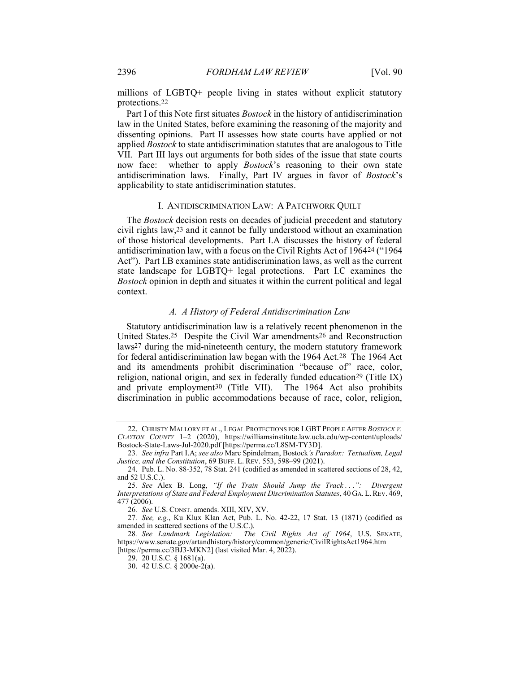millions of LGBTQ+ people living in states without explicit statutory protections.22

Part I of this Note first situates *Bostock* in the history of antidiscrimination law in the United States, before examining the reasoning of the majority and dissenting opinions. Part II assesses how state courts have applied or not applied Bostock to state antidiscrimination statutes that are analogous to Title VII. Part III lays out arguments for both sides of the issue that state courts now face: whether to apply *Bostock*'s reasoning to their own state antidiscrimination laws. Finally, Part IV argues in favor of Bostock's applicability to state antidiscrimination statutes.

#### I. ANTIDISCRIMINATION LAW: A PATCHWORK QUILT

The *Bostock* decision rests on decades of judicial precedent and statutory civil rights law,23 and it cannot be fully understood without an examination of those historical developments. Part I.A discusses the history of federal antidiscrimination law, with a focus on the Civil Rights Act of 196424 ("1964 Act"). Part I.B examines state antidiscrimination laws, as well as the current state landscape for LGBTQ+ legal protections. Part I.C examines the Bostock opinion in depth and situates it within the current political and legal context.

#### A. A History of Federal Antidiscrimination Law

Statutory antidiscrimination law is a relatively recent phenomenon in the United States.25 Despite the Civil War amendments26 and Reconstruction laws27 during the mid-nineteenth century, the modern statutory framework for federal antidiscrimination law began with the 1964 Act.<sup>28</sup> The 1964 Act and its amendments prohibit discrimination "because of" race, color, religion, national origin, and sex in federally funded education<sup>29</sup> (Title IX) and private employment30 (Title VII). The 1964 Act also prohibits discrimination in public accommodations because of race, color, religion,

<sup>22.</sup> CHRISTY MALLORY ET AL., LEGAL PROTECTIONS FOR LGBT PEOPLE AFTER BOSTOCK V. CLAYTON COUNTY 1–2 (2020), https://williamsinstitute.law.ucla.edu/wp-content/uploads/ Bostock-State-Laws-Jul-2020.pdf [https://perma.cc/L8SM-TY3D].

<sup>23</sup>. See infra Part I.A; see also Marc Spindelman, Bostock's Paradox: Textualism, Legal Justice, and the Constitution, 69 BUFF. L. REV. 553, 598–99 (2021).

 <sup>24.</sup> Pub. L. No. 88-352, 78 Stat. 241 (codified as amended in scattered sections of 28, 42, and 52 U.S.C.).

<sup>25.</sup> See Alex B. Long, "If the Train Should Jump the Track ...": Divergent Interpretations of State and Federal Employment Discrimination Statutes, 40 GA. L.REV. 469, 477 (2006).

<sup>26</sup>. See U.S. CONST. amends. XIII, XIV, XV.

<sup>27</sup>. See, e.g., Ku Klux Klan Act, Pub. L. No. 42-22, 17 Stat. 13 (1871) (codified as amended in scattered sections of the U.S.C.).<br>28. See Landmark Legislation: The

The Civil Rights Act of 1964, U.S. SENATE, https://www.senate.gov/artandhistory/history/common/generic/CivilRightsAct1964.htm [https://perma.cc/3BJ3-MKN2] (last visited Mar. 4, 2022).

 <sup>29. 20</sup> U.S.C. § 1681(a).

 <sup>30. 42</sup> U.S.C. § 2000e-2(a).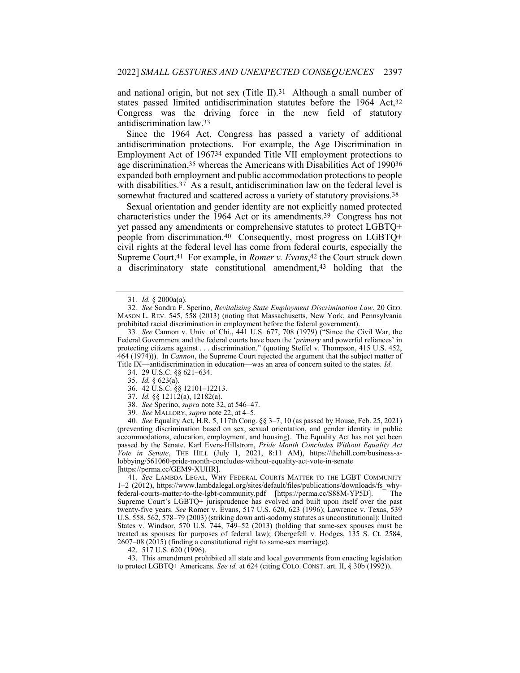and national origin, but not sex (Title II).31 Although a small number of states passed limited antidiscrimination statutes before the 1964 Act,32 Congress was the driving force in the new field of statutory antidiscrimination law.33

Since the 1964 Act, Congress has passed a variety of additional antidiscrimination protections. For example, the Age Discrimination in Employment Act of 196734 expanded Title VII employment protections to age discrimination,35 whereas the Americans with Disabilities Act of 199036 expanded both employment and public accommodation protections to people with disabilities.<sup>37</sup> As a result, antidiscrimination law on the federal level is somewhat fractured and scattered across a variety of statutory provisions.38

Sexual orientation and gender identity are not explicitly named protected characteristics under the 1964 Act or its amendments.39 Congress has not yet passed any amendments or comprehensive statutes to protect LGBTQ+ people from discrimination.40 Consequently, most progress on LGBTQ+ civil rights at the federal level has come from federal courts, especially the Supreme Court.<sup>41</sup> For example, in *Romer v. Evans*,<sup>42</sup> the Court struck down a discriminatory state constitutional amendment,43 holding that the

- 37. Id. §§ 12112(a), 12182(a).
- 38. See Sperino, supra note 32, at 546–47.
- 39. See MALLORY, supra note 22, at 4–5.

40. See Equality Act, H.R. 5, 117th Cong. §§ 3–7, 10 (as passed by House, Feb. 25, 2021) (preventing discrimination based on sex, sexual orientation, and gender identity in public accommodations, education, employment, and housing). The Equality Act has not yet been passed by the Senate. Karl Evers-Hillstrom, Pride Month Concludes Without Equality Act Vote in Senate, THE HILL (July 1, 2021, 8:11 AM), https://thehill.com/business-alobbying/561060-pride-month-concludes-without-equality-act-vote-in-senate [https://perma.cc/GEM9-XUHR].

41. See LAMBDA LEGAL, WHY FEDERAL COURTS MATTER TO THE LGBT COMMUNITY 1–2 (2012), https://www.lambdalegal.org/sites/default/files/publications/downloads/fs\_whyfederal-courts-matter-to-the-lgbt-community.pdf [https://perma.cc/S88M-YP5D]. The Supreme Court's LGBTQ+ jurisprudence has evolved and built upon itself over the past twenty-five years. See Romer v. Evans, 517 U.S. 620, 623 (1996); Lawrence v. Texas, 539 U.S. 558, 562, 578–79 (2003) (striking down anti-sodomy statutes as unconstitutional); United States v. Windsor, 570 U.S. 744, 749–52 (2013) (holding that same-sex spouses must be treated as spouses for purposes of federal law); Obergefell v. Hodges, 135 S. Ct. 2584, 2607–08 (2015) (finding a constitutional right to same-sex marriage).

42. 517 U.S. 620 (1996).

 43. This amendment prohibited all state and local governments from enacting legislation to protect LGBTQ+ Americans. See id. at 624 (citing COLO. CONST. art. II, § 30b (1992)).

<sup>31</sup>. Id. § 2000a(a).

<sup>32</sup>. See Sandra F. Sperino, Revitalizing State Employment Discrimination Law, 20 GEO. MASON L. REV. 545, 558 (2013) (noting that Massachusetts, New York, and Pennsylvania prohibited racial discrimination in employment before the federal government).

<sup>33</sup>. See Cannon v. Univ. of Chi., 441 U.S. 677, 708 (1979) ("Since the Civil War, the Federal Government and the federal courts have been the 'primary and powerful reliances' in protecting citizens against . . . discrimination." (quoting Steffel v. Thompson, 415 U.S. 452, 464 (1974))). In Cannon, the Supreme Court rejected the argument that the subject matter of Title IX—antidiscrimination in education—was an area of concern suited to the states. Id.

 <sup>34. 29</sup> U.S.C. §§ 621–634.

<sup>35</sup>. Id. § 623(a).

 <sup>36. 42</sup> U.S.C. §§ 12101–12213.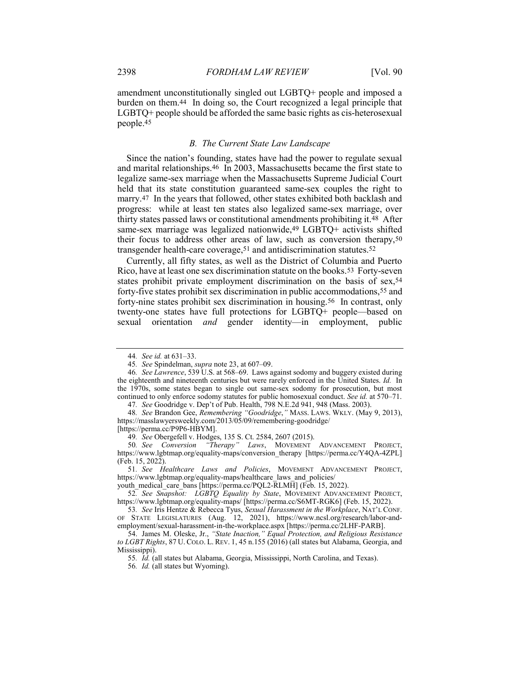amendment unconstitutionally singled out LGBTQ+ people and imposed a burden on them.44 In doing so, the Court recognized a legal principle that LGBTQ+ people should be afforded the same basic rights as cis-heterosexual people.45

#### B. The Current State Law Landscape

Since the nation's founding, states have had the power to regulate sexual and marital relationships.46 In 2003, Massachusetts became the first state to legalize same-sex marriage when the Massachusetts Supreme Judicial Court held that its state constitution guaranteed same-sex couples the right to marry.47 In the years that followed, other states exhibited both backlash and progress: while at least ten states also legalized same-sex marriage, over thirty states passed laws or constitutional amendments prohibiting it.48 After same-sex marriage was legalized nationwide,49 LGBTQ+ activists shifted their focus to address other areas of law, such as conversion therapy,50 transgender health-care coverage,<sup>51</sup> and antidiscrimination statutes.<sup>52</sup>

Currently, all fifty states, as well as the District of Columbia and Puerto Rico, have at least one sex discrimination statute on the books.53 Forty-seven states prohibit private employment discrimination on the basis of sex,54 forty-five states prohibit sex discrimination in public accommodations,55 and forty-nine states prohibit sex discrimination in housing.56 In contrast, only twenty-one states have full protections for LGBTQ+ people—based on sexual orientation and gender identity—in employment, public

[https://perma.cc/P9P6-HBYM].

youth\_medical\_care\_bans [https://perma.cc/PQL2-RLMH] (Feb. 15, 2022).

<sup>44</sup>. See id. at 631–33.

<sup>45</sup>. See Spindelman, supra note 23, at 607–09.

<sup>46</sup>. See Lawrence, 539 U.S. at 568–69. Laws against sodomy and buggery existed during the eighteenth and nineteenth centuries but were rarely enforced in the United States. Id. In the 1970s, some states began to single out same-sex sodomy for prosecution, but most continued to only enforce sodomy statutes for public homosexual conduct. See id. at 570–71.

<sup>47</sup>. See Goodridge v. Dep't of Pub. Health, 798 N.E.2d 941, 948 (Mass. 2003).

<sup>48.</sup> See Brandon Gee, Remembering "Goodridge," MASS. LAWS. WKLY. (May 9, 2013), https://masslawyersweekly.com/2013/05/09/remembering-goodridge/

<sup>49</sup>. See Obergefell v. Hodges, 135 S. Ct. 2584, 2607 (2015).

<sup>50</sup>. See Conversion "Therapy" Laws, MOVEMENT ADVANCEMENT PROJECT, https://www.lgbtmap.org/equality-maps/conversion\_therapy [https://perma.cc/Y4QA-4ZPL] (Feb. 15, 2022).

<sup>51</sup>. See Healthcare Laws and Policies, MOVEMENT ADVANCEMENT PROJECT, https://www.lgbtmap.org/equality-maps/healthcare\_laws\_and\_policies/

<sup>52</sup>. See Snapshot: LGBTQ Equality by State, MOVEMENT ADVANCEMENT PROJECT, https://www.lgbtmap.org/equality-maps/ [https://perma.cc/S6MT-RGK6] (Feb. 15, 2022).

<sup>53.</sup> See Iris Hentze & Rebecca Tyus, Sexual Harassment in the Workplace, NAT'L CONF. OF STATE LEGISLATURES (Aug. 12, 2021), https://www.ncsl.org/research/labor-andemployment/sexual-harassment-in-the-workplace.aspx [https://perma.cc/2LHF-PARB].

 <sup>54.</sup> James M. Oleske, Jr., "State Inaction," Equal Protection, and Religious Resistance to LGBT Rights, 87 U. COLO. L. REV. 1, 45 n.155 (2016) (all states but Alabama, Georgia, and Mississippi).

<sup>55</sup>. Id. (all states but Alabama, Georgia, Mississippi, North Carolina, and Texas).

<sup>56</sup>. Id. (all states but Wyoming).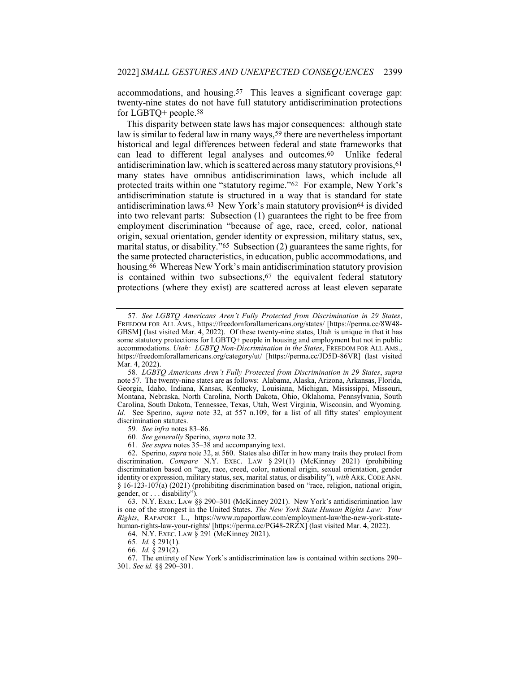accommodations, and housing.57 This leaves a significant coverage gap: twenty-nine states do not have full statutory antidiscrimination protections for LGBTQ+ people.58

This disparity between state laws has major consequences: although state law is similar to federal law in many ways,<sup>59</sup> there are nevertheless important historical and legal differences between federal and state frameworks that can lead to different legal analyses and outcomes.60 Unlike federal antidiscrimination law, which is scattered across many statutory provisions,61 many states have omnibus antidiscrimination laws, which include all protected traits within one "statutory regime."62 For example, New York's antidiscrimination statute is structured in a way that is standard for state antidiscrimination laws.63 New York's main statutory provision64 is divided into two relevant parts: Subsection (1) guarantees the right to be free from employment discrimination "because of age, race, creed, color, national origin, sexual orientation, gender identity or expression, military status, sex, marital status, or disability."65 Subsection (2) guarantees the same rights, for the same protected characteristics, in education, public accommodations, and housing.66 Whereas New York's main antidiscrimination statutory provision is contained within two subsections,<sup>67</sup> the equivalent federal statutory protections (where they exist) are scattered across at least eleven separate

59. See infra notes 83–86.

60. See generally Sperino, supra note 32.

61. See supra notes 35–38 and accompanying text.

 62. Sperino, supra note 32, at 560. States also differ in how many traits they protect from discrimination. Compare N.Y. EXEC. LAW § 291(1) (McKinney 2021) (prohibiting discrimination based on "age, race, creed, color, national origin, sexual orientation, gender identity or expression, military status, sex, marital status, or disability"), with ARK.CODE ANN.  $§$  16-123-107(a) (2021) (prohibiting discrimination based on "race, religion, national origin, gender, or . . . disability").

 63. N.Y. EXEC. LAW §§ 290–301 (McKinney 2021). New York's antidiscrimination law is one of the strongest in the United States. The New York State Human Rights Law: Your Rights, RAPAPORT L., https://www.rapaportlaw.com/employment-law/the-new-york-statehuman-rights-law-your-rights/ [https://perma.cc/PG48-2RZX] (last visited Mar. 4, 2022).

64. N.Y. EXEC. LAW § 291 (McKinney 2021).

65. Id. § 291(1).

66. Id. § 291(2).

 67. The entirety of New York's antidiscrimination law is contained within sections 290– 301. See id. §§ 290–301.

<sup>57</sup>. See LGBTQ Americans Aren't Fully Protected from Discrimination in 29 States, FREEDOM FOR ALL AMS., https://freedomforallamericans.org/states/ [https://perma.cc/8W48- GBSM] (last visited Mar. 4, 2022). Of these twenty-nine states, Utah is unique in that it has some statutory protections for LGBTQ+ people in housing and employment but not in public accommodations. Utah: LGBTQ Non-Discrimination in the States, FREEDOM FOR ALL AMS., https://freedomforallamericans.org/category/ut/ [https://perma.cc/JD5D-86VR] (last visited Mar. 4, 2022).

<sup>58</sup>. LGBTQ Americans Aren't Fully Protected from Discrimination in 29 States, supra note 57. The twenty-nine states are as follows: Alabama, Alaska, Arizona, Arkansas, Florida, Georgia, Idaho, Indiana, Kansas, Kentucky, Louisiana, Michigan, Mississippi, Missouri, Montana, Nebraska, North Carolina, North Dakota, Ohio, Oklahoma, Pennsylvania, South Carolina, South Dakota, Tennessee, Texas, Utah, West Virginia, Wisconsin, and Wyoming. Id. See Sperino, *supra* note 32, at 557 n.109, for a list of all fifty states' employment discrimination statutes.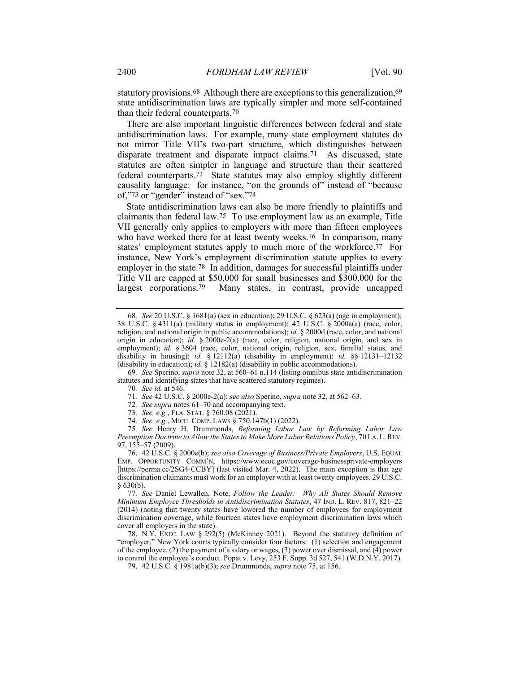statutory provisions.<sup>68</sup> Although there are exceptions to this generalization,<sup>69</sup> state antidiscrimination laws are typically simpler and more self-contained than their federal counterparts.70

There are also important linguistic differences between federal and state antidiscrimination laws. For example, many state employment statutes do not mirror Title VII's two-part structure, which distinguishes between disparate treatment and disparate impact claims.71 As discussed, state statutes are often simpler in language and structure than their scattered federal counterparts.72 State statutes may also employ slightly different causality language: for instance, "on the grounds of" instead of "because of,"73 or "gender" instead of "sex."74

State antidiscrimination laws can also be more friendly to plaintiffs and claimants than federal law.75 To use employment law as an example, Title VII generally only applies to employers with more than fifteen employees who have worked there for at least twenty weeks.<sup>76</sup> In comparison, many states' employment statutes apply to much more of the workforce.77 For instance, New York's employment discrimination statute applies to every employer in the state.78 In addition, damages for successful plaintiffs under Title VII are capped at \$50,000 for small businesses and \$300,000 for the largest corporations.79 Many states, in contrast, provide uncapped

69. See Sperino, supra note 32, at 560–61 n.114 (listing omnibus state antidiscrimination statutes and identifying states that have scattered statutory regimes).

70. See id. at 546.

71. See 42 U.S.C. § 2000e-2(a); see also Sperino, supra note 32, at 562–63.

72. See supra notes 61–70 and accompanying text.

73. See, e.g., FLA. STAT. § 760.08 (2021).

74. See, e.g., MICH. COMP. LAWS § 750.147b(1) (2022).

75. See Henry H. Drummonds, Reforming Labor Law by Reforming Labor Law Preemption Doctrine to Allow the States to Make More Labor Relations Policy, 70 LA. L. REV. 97, 155–57 (2009).

 76. 42 U.S.C. § 2000e(b); see also Coverage of Business/Private Employers, U.S. EQUAL EMP. OPPORTUNITY COMM'N, https://www.eeoc.gov/coverage-businessprivate-employers [https://perma.cc/2SG4-CCBY] (last visited Mar. 4, 2022). The main exception is that age discrimination claimants must work for an employer with at least twenty employees. 29 U.S.C. § 630(b).

77. See Daniel Lewallen, Note, Follow the Leader: Why All States Should Remove Minimum Employee Thresholds in Antidiscrimination Statutes, 47 IND. L. REV. 817, 821–22 (2014) (noting that twenty states have lowered the number of employees for employment discrimination coverage, while fourteen states have employment discrimination laws which cover all employers in the state).

 78. N.Y. EXEC. LAW § 292(5) (McKinney 2021). Beyond the statutory definition of "employer," New York courts typically consider four factors: (1) selection and engagement of the employee, (2) the payment of a salary or wages, (3) power over dismissal, and (4) power to control the employee's conduct. Popat v. Levy, 253 F. Supp. 3d 527, 541 (W.D.N.Y. 2017).

79. 42 U.S.C. § 1981a(b)(3); see Drummonds, supra note 75, at 156.

<sup>68</sup>. See 20 U.S.C. § 1681(a) (sex in education); 29 U.S.C. § 623(a) (age in employment); 38 U.S.C. § 4311(a) (military status in employment); 42 U.S.C. § 2000a(a) (race, color, religion, and national origin in public accommodations); id. § 2000d (race, color, and national origin in education); id. § 2000e-2(a) (race, color, religion, national origin, and sex in employment); id. § 3604 (race, color, national origin, religion, sex, familial status, and disability in housing); id.  $\S$  12112(a) (disability in employment); id.  $\S$  12131–12132 (disability in education); id.  $\S$  12182(a) (disability in public accommodations).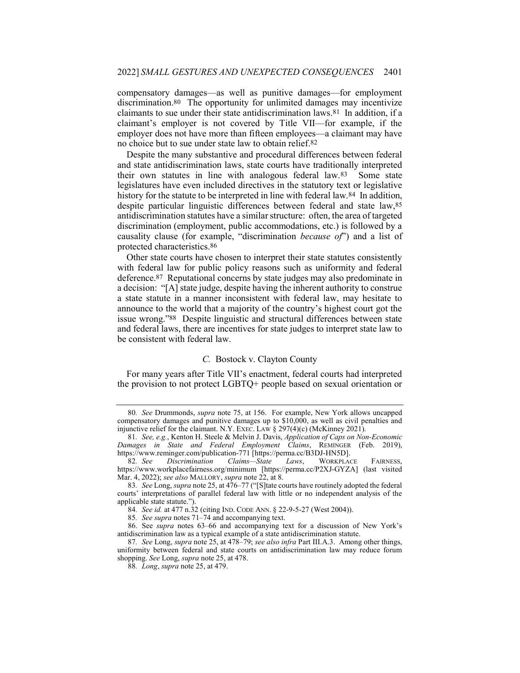compensatory damages—as well as punitive damages—for employment discrimination.80 The opportunity for unlimited damages may incentivize claimants to sue under their state antidiscrimination laws.81 In addition, if a claimant's employer is not covered by Title VII—for example, if the employer does not have more than fifteen employees—a claimant may have no choice but to sue under state law to obtain relief.82

Despite the many substantive and procedural differences between federal and state antidiscrimination laws, state courts have traditionally interpreted their own statutes in line with analogous federal law.83 Some state legislatures have even included directives in the statutory text or legislative history for the statute to be interpreted in line with federal law.<sup>84</sup> In addition, despite particular linguistic differences between federal and state law,85 antidiscrimination statutes have a similar structure: often, the area of targeted discrimination (employment, public accommodations, etc.) is followed by a causality clause (for example, "discrimination because of") and a list of protected characteristics.86

Other state courts have chosen to interpret their state statutes consistently with federal law for public policy reasons such as uniformity and federal deference.87 Reputational concerns by state judges may also predominate in a decision: "[A] state judge, despite having the inherent authority to construe a state statute in a manner inconsistent with federal law, may hesitate to announce to the world that a majority of the country's highest court got the issue wrong."88 Despite linguistic and structural differences between state and federal laws, there are incentives for state judges to interpret state law to be consistent with federal law.

### C. Bostock v. Clayton County

For many years after Title VII's enactment, federal courts had interpreted the provision to not protect LGBTQ+ people based on sexual orientation or

<sup>80</sup>. See Drummonds, supra note 75, at 156. For example, New York allows uncapped compensatory damages and punitive damages up to \$10,000, as well as civil penalties and injunctive relief for the claimant. N.Y. EXEC. LAW § 297(4)(c) (McKinney 2021).

<sup>81</sup>. See, e.g., Kenton H. Steele & Melvin J. Davis, Application of Caps on Non-Economic Damages in State and Federal Employment Claims, REMINGER (Feb. 2019), https://www.reminger.com/publication-771 [https://perma.cc/B3DJ-HN5D].

<sup>82.</sup> See Discrimination Claims—State Laws, WORKPLACE FAIRNESS, https://www.workplacefairness.org/minimum [https://perma.cc/P2XJ-GYZA] (last visited Mar. 4, 2022); see also MALLORY, supra note 22, at 8.

<sup>83.</sup> See Long, supra note 25, at 476–77 ("[S]tate courts have routinely adopted the federal courts' interpretations of parallel federal law with little or no independent analysis of the applicable state statute.").

<sup>84</sup>. See id. at 477 n.32 (citing IND. CODE ANN. § 22-9-5-27 (West 2004)).

<sup>85</sup>. See supra notes 71–74 and accompanying text.

 <sup>86.</sup> See supra notes 63–66 and accompanying text for a discussion of New York's antidiscrimination law as a typical example of a state antidiscrimination statute.

<sup>87.</sup> See Long, supra note 25, at 478–79; see also infra Part III.A.3. Among other things, uniformity between federal and state courts on antidiscrimination law may reduce forum shopping. See Long, *supra* note 25, at 478.

<sup>88.</sup> Long, supra note 25, at 479.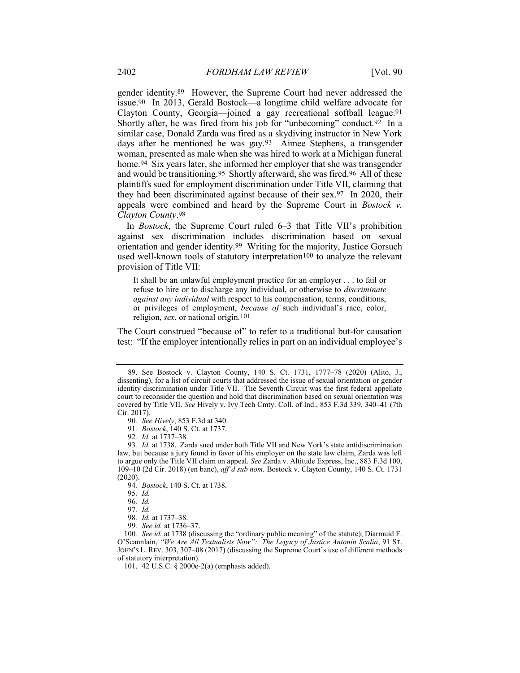gender identity.89 However, the Supreme Court had never addressed the issue.90 In 2013, Gerald Bostock—a longtime child welfare advocate for Clayton County, Georgia—joined a gay recreational softball league.91 Shortly after, he was fired from his job for "unbecoming" conduct.<sup>92</sup> In a similar case, Donald Zarda was fired as a skydiving instructor in New York days after he mentioned he was gay.93 Aimee Stephens, a transgender woman, presented as male when she was hired to work at a Michigan funeral home.94 Six years later, she informed her employer that she was transgender and would be transitioning.95 Shortly afterward, she was fired.96 All of these plaintiffs sued for employment discrimination under Title VII, claiming that they had been discriminated against because of their sex.97 In 2020, their appeals were combined and heard by the Supreme Court in Bostock v. Clayton County.98

In Bostock, the Supreme Court ruled 6–3 that Title VII's prohibition against sex discrimination includes discrimination based on sexual orientation and gender identity.99 Writing for the majority, Justice Gorsuch used well-known tools of statutory interpretation<sup>100</sup> to analyze the relevant provision of Title VII:

It shall be an unlawful employment practice for an employer . . . to fail or refuse to hire or to discharge any individual, or otherwise to discriminate against any individual with respect to his compensation, terms, conditions, or privileges of employment, because of such individual's race, color, religion, sex, or national origin.101

The Court construed "because of" to refer to a traditional but-for causation test: "If the employer intentionally relies in part on an individual employee's

 <sup>89.</sup> See Bostock v. Clayton County, 140 S. Ct. 1731, 1777–78 (2020) (Alito, J., dissenting), for a list of circuit courts that addressed the issue of sexual orientation or gender identity discrimination under Title VII. The Seventh Circuit was the first federal appellate court to reconsider the question and hold that discrimination based on sexual orientation was covered by Title VII. See Hively v. Ivy Tech Cmty. Coll. of Ind., 853 F.3d 339, 340–41 (7th Cir. 2017).

<sup>90</sup>. See Hively, 853 F.3d at 340.

<sup>91</sup>. Bostock, 140 S. Ct. at 1737.

<sup>92</sup>. Id. at 1737–38.

<sup>93</sup>. Id. at 1738. Zarda sued under both Title VII and New York's state antidiscrimination law, but because a jury found in favor of his employer on the state law claim, Zarda was left to argue only the Title VII claim on appeal. See Zarda v. Altitude Express, Inc., 883 F.3d 100, 109–10 (2d Cir. 2018) (en banc), aff'd sub nom. Bostock v. Clayton County, 140 S. Ct. 1731 (2020).

<sup>94.</sup> Bostock, 140 S. Ct. at 1738.

<sup>95</sup>. Id.

<sup>96</sup>. Id.

<sup>97</sup>. Id.

<sup>98</sup>. Id. at 1737–38.

<sup>99</sup>. See id. at 1736–37.

<sup>100.</sup> See id. at 1738 (discussing the "ordinary public meaning" of the statute); Diarmuid F. O'Scannlain, "We Are All Textualists Now": The Legacy of Justice Antonin Scalia, 91 ST. JOHN'S L. REV. 303, 307–08 (2017) (discussing the Supreme Court's use of different methods of statutory interpretation).

 <sup>101. 42</sup> U.S.C. § 2000e-2(a) (emphasis added).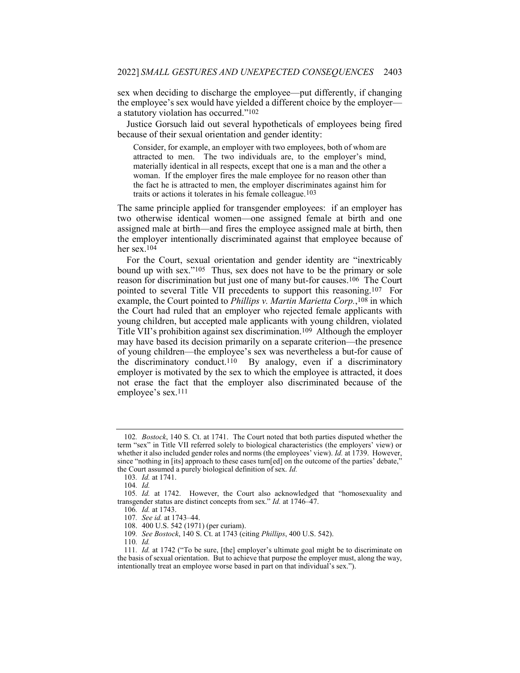sex when deciding to discharge the employee—put differently, if changing the employee's sex would have yielded a different choice by the employer a statutory violation has occurred."102

Justice Gorsuch laid out several hypotheticals of employees being fired because of their sexual orientation and gender identity:

Consider, for example, an employer with two employees, both of whom are attracted to men. The two individuals are, to the employer's mind, materially identical in all respects, except that one is a man and the other a woman. If the employer fires the male employee for no reason other than the fact he is attracted to men, the employer discriminates against him for traits or actions it tolerates in his female colleague.103

The same principle applied for transgender employees: if an employer has two otherwise identical women—one assigned female at birth and one assigned male at birth—and fires the employee assigned male at birth, then the employer intentionally discriminated against that employee because of her sex.104

For the Court, sexual orientation and gender identity are "inextricably bound up with sex."105 Thus, sex does not have to be the primary or sole reason for discrimination but just one of many but-for causes.106 The Court pointed to several Title VII precedents to support this reasoning.107 For example, the Court pointed to *Phillips v. Martin Marietta Corp.*,<sup>108</sup> in which the Court had ruled that an employer who rejected female applicants with young children, but accepted male applicants with young children, violated Title VII's prohibition against sex discrimination.109 Although the employer may have based its decision primarily on a separate criterion—the presence of young children—the employee's sex was nevertheless a but-for cause of the discriminatory conduct.110 By analogy, even if a discriminatory employer is motivated by the sex to which the employee is attracted, it does not erase the fact that the employer also discriminated because of the employee's sex.111

<sup>102</sup>. Bostock, 140 S. Ct. at 1741. The Court noted that both parties disputed whether the term "sex" in Title VII referred solely to biological characteristics (the employers' view) or whether it also included gender roles and norms (the employees' view). *Id.* at 1739. However, since "nothing in [its] approach to these cases turn[ed] on the outcome of the parties' debate," the Court assumed a purely biological definition of sex. Id.

<sup>103</sup>. Id. at 1741.

<sup>104</sup>. Id.

<sup>105</sup>. Id. at 1742. However, the Court also acknowledged that "homosexuality and transgender status are distinct concepts from sex." Id. at 1746–47.

<sup>106</sup>. Id. at 1743.

<sup>107</sup>. See id. at 1743–44.

 <sup>108. 400</sup> U.S. 542 (1971) (per curiam).

<sup>109</sup>. See Bostock, 140 S. Ct. at 1743 (citing Phillips, 400 U.S. 542).

<sup>110</sup>. Id.

<sup>111</sup>. Id. at 1742 ("To be sure, [the] employer's ultimate goal might be to discriminate on the basis of sexual orientation. But to achieve that purpose the employer must, along the way, intentionally treat an employee worse based in part on that individual's sex.").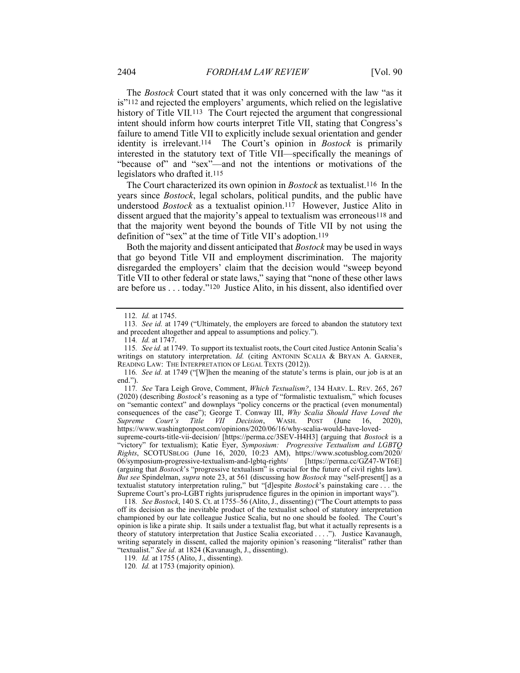The *Bostock* Court stated that it was only concerned with the law "as it is"112 and rejected the employers' arguments, which relied on the legislative history of Title VII.<sup>113</sup> The Court rejected the argument that congressional intent should inform how courts interpret Title VII, stating that Congress's failure to amend Title VII to explicitly include sexual orientation and gender identity is irrelevant.<sup>114</sup> The Court's opinion in Bostock is primarily interested in the statutory text of Title VII—specifically the meanings of "because of" and "sex"—and not the intentions or motivations of the legislators who drafted it.115

The Court characterized its own opinion in Bostock as textualist.<sup>116</sup> In the years since Bostock, legal scholars, political pundits, and the public have understood *Bostock* as a textualist opinion.<sup>117</sup> However, Justice Alito in dissent argued that the majority's appeal to textualism was erroneous<sup>118</sup> and that the majority went beyond the bounds of Title VII by not using the definition of "sex" at the time of Title VII's adoption.119

Both the majority and dissent anticipated that Bostock may be used in ways that go beyond Title VII and employment discrimination. The majority disregarded the employers' claim that the decision would "sweep beyond Title VII to other federal or state laws," saying that "none of these other laws are before us . . . today."120 Justice Alito, in his dissent, also identified over

supreme-courts-title-vii-decision/ [https://perma.cc/3SEV-H4H3] (arguing that *Bostock* is a "victory" for textualism); Katie Eyer, Symposium: Progressive Textualism and LGBTQ Rights, SCOTUSBLOG (June 16, 2020, 10:23 AM), https://www.scotusblog.com/2020/ 06/symposium-progressive-textualism-and-lgbtq-rights/ [https://perma.cc/GZ47-WT6E] (arguing that *Bostock*'s "progressive textualism" is crucial for the future of civil rights law). But see Spindelman, supra note 23, at 561 (discussing how Bostock may "self-present[] as a textualist statutory interpretation ruling," but "[d]espite Bostock's painstaking care . . . the Supreme Court's pro-LGBT rights jurisprudence figures in the opinion in important ways").

118. See Bostock, 140 S. Ct. at 1755–56 (Alito, J., dissenting) ("The Court attempts to pass off its decision as the inevitable product of the textualist school of statutory interpretation championed by our late colleague Justice Scalia, but no one should be fooled. The Court's opinion is like a pirate ship. It sails under a textualist flag, but what it actually represents is a theory of statutory interpretation that Justice Scalia excoriated . . . ."). Justice Kavanaugh, writing separately in dissent, called the majority opinion's reasoning "literalist" rather than "textualist." See id. at 1824 (Kavanaugh, J., dissenting).

<sup>112</sup>. Id. at 1745.

<sup>113</sup>. See id. at 1749 ("Ultimately, the employers are forced to abandon the statutory text and precedent altogether and appeal to assumptions and policy.").

<sup>114</sup>. Id. at 1747.

<sup>115</sup>. See id. at 1749. To support its textualist roots, the Court cited Justice Antonin Scalia's writings on statutory interpretation. Id. (citing ANTONIN SCALIA & BRYAN A. GARNER, READING LAW: THE INTERPRETATION OF LEGAL TEXTS (2012)).

<sup>116</sup>. See id. at 1749 ("[W]hen the meaning of the statute's terms is plain, our job is at an end.").

<sup>117</sup>. See Tara Leigh Grove, Comment, Which Textualism?, 134 HARV. L. REV. 265, 267 (2020) (describing Bostock's reasoning as a type of "formalistic textualism," which focuses on "semantic context" and downplays "policy concerns or the practical (even monumental) consequences of the case"); George T. Conway III, Why Scalia Should Have Loved the Supreme Court's Title VII Decision, WASH. POST (June 16, 2020), https://www.washingtonpost.com/opinions/2020/06/16/why-scalia-would-have-loved-

<sup>119.</sup> *Id.* at 1755 (Alito, J., dissenting).

<sup>120</sup>. Id. at 1753 (majority opinion).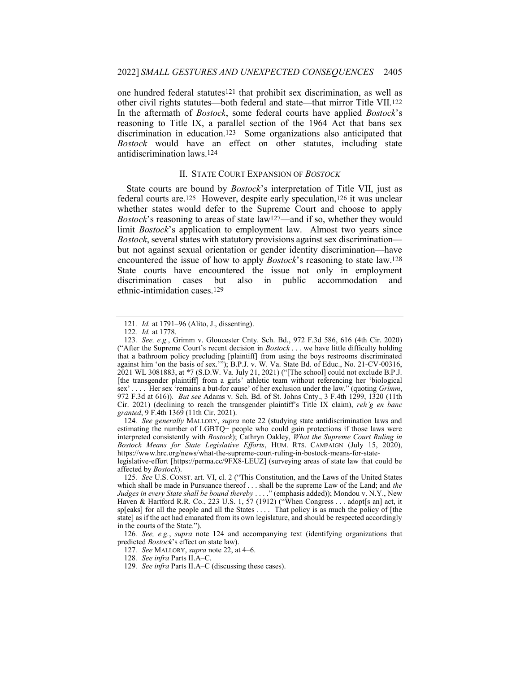one hundred federal statutes121 that prohibit sex discrimination, as well as other civil rights statutes—both federal and state—that mirror Title VII.122 In the aftermath of Bostock, some federal courts have applied Bostock's reasoning to Title IX, a parallel section of the 1964 Act that bans sex discrimination in education.123 Some organizations also anticipated that Bostock would have an effect on other statutes, including state antidiscrimination laws.124

#### II. STATE COURT EXPANSION OF BOSTOCK

State courts are bound by Bostock's interpretation of Title VII, just as federal courts are.125 However, despite early speculation,126 it was unclear whether states would defer to the Supreme Court and choose to apply *Bostock*'s reasoning to areas of state  $law^{127}$ —and if so, whether they would limit *Bostock*'s application to employment law. Almost two years since Bostock, several states with statutory provisions against sex discrimination but not against sexual orientation or gender identity discrimination—have encountered the issue of how to apply Bostock's reasoning to state law.128 State courts have encountered the issue not only in employment discrimination cases but also in public accommodation and ethnic-intimidation cases.129

124. See generally MALLORY, supra note 22 (studying state antidiscrimination laws and estimating the number of  $LGBTQ+$  people who could gain protections if those laws were interpreted consistently with Bostock); Cathryn Oakley, What the Supreme Court Ruling in Bostock Means for State Legislative Efforts, HUM. RTS. CAMPAIGN (July 15, 2020), https://www.hrc.org/news/what-the-supreme-court-ruling-in-bostock-means-for-state-

legislative-effort [https://perma.cc/9FX8-LEUZ] (surveying areas of state law that could be affected by Bostock).

125. See U.S. CONST. art. VI, cl. 2 ("This Constitution, and the Laws of the United States which shall be made in Pursuance thereof . . . shall be the supreme Law of the Land; and the Judges in every State shall be bound thereby . . . ." (emphasis added)); Mondou v. N.Y., New Haven & Hartford R.R. Co., 223 U.S. 1, 57 (1912) ("When Congress . . . adopt[s an] act, it sp[eaks] for all the people and all the States . . . . That policy is as much the policy of [the state] as if the act had emanated from its own legislature, and should be respected accordingly in the courts of the State.").

126. See, e.g., supra note 124 and accompanying text (identifying organizations that predicted Bostock's effect on state law).

127. See MALLORY, supra note 22, at 4–6.

<sup>121</sup>. Id. at 1791–96 (Alito, J., dissenting).

<sup>122</sup>. Id. at 1778.

<sup>123</sup>. See, e.g., Grimm v. Gloucester Cnty. Sch. Bd., 972 F.3d 586, 616 (4th Cir. 2020) ("After the Supreme Court's recent decision in  $Bostock...$  we have little difficulty holding that a bathroom policy precluding [plaintiff] from using the boys restrooms discriminated against him 'on the basis of sex.'"); B.P.J. v. W. Va. State Bd. of Educ., No. 21-CV-00316, 2021 WL 3081883, at \*7 (S.D.W. Va. July 21, 2021) ("[The school] could not exclude B.P.J. [the transgender plaintiff] from a girls' athletic team without referencing her 'biological sex' . . . . Her sex 'remains a but-for cause' of her exclusion under the law." (quoting *Grimm*, 972 F.3d at 616)). But see Adams v. Sch. Bd. of St. Johns Cnty., 3 F.4th 1299, 1320 (11th Cir. 2021) (declining to reach the transgender plaintiff's Title IX claim), reh'g en banc granted, 9 F.4th 1369 (11th Cir. 2021).

<sup>128</sup>. See infra Parts II.A–C.

<sup>129.</sup> See infra Parts II.A–C (discussing these cases).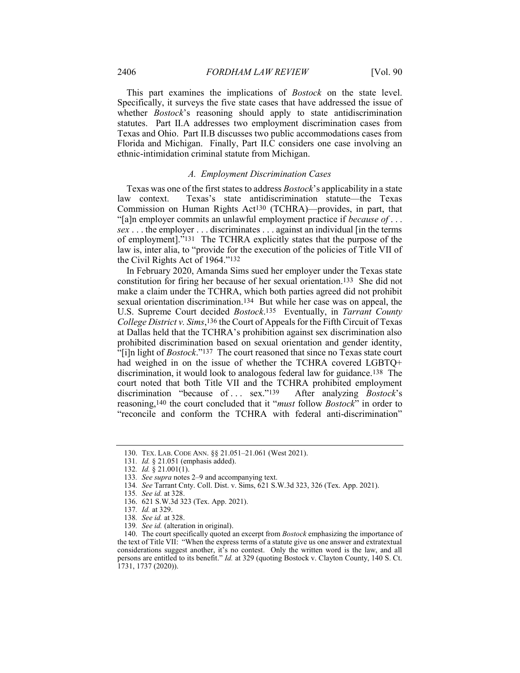This part examines the implications of Bostock on the state level. Specifically, it surveys the five state cases that have addressed the issue of whether *Bostock*'s reasoning should apply to state antidiscrimination statutes. Part II.A addresses two employment discrimination cases from Texas and Ohio. Part II.B discusses two public accommodations cases from Florida and Michigan. Finally, Part II.C considers one case involving an ethnic-intimidation criminal statute from Michigan.

#### A. Employment Discrimination Cases

Texas was one of the first states to address Bostock's applicability in a state law context. Texas's state antidiscrimination statute—the Texas Commission on Human Rights Act130 (TCHRA)—provides, in part, that "[a]n employer commits an unlawful employment practice if *because of* . . . sex . . . the employer . . . discriminates . . . against an individual [in the terms of employment]."131 The TCHRA explicitly states that the purpose of the law is, inter alia, to "provide for the execution of the policies of Title VII of the Civil Rights Act of 1964."132

In February 2020, Amanda Sims sued her employer under the Texas state constitution for firing her because of her sexual orientation.133 She did not make a claim under the TCHRA, which both parties agreed did not prohibit sexual orientation discrimination.134 But while her case was on appeal, the U.S. Supreme Court decided Bostock.135 Eventually, in Tarrant County College District v. Sims,136 the Court of Appeals for the Fifth Circuit of Texas at Dallas held that the TCHRA's prohibition against sex discrimination also prohibited discrimination based on sexual orientation and gender identity, "[i]n light of Bostock."137 The court reasoned that since no Texas state court had weighed in on the issue of whether the TCHRA covered LGBTQ+ discrimination, it would look to analogous federal law for guidance.138 The court noted that both Title VII and the TCHRA prohibited employment discrimination "because of ... sex."<sup>139</sup> After analyzing Bostock's reasoning,140 the court concluded that it "must follow Bostock" in order to "reconcile and conform the TCHRA with federal anti-discrimination"

131. Id. § 21.051 (emphasis added).

 <sup>130.</sup> TEX. LAB. CODE ANN. §§ 21.051–21.061 (West 2021).

<sup>132.</sup> *Id.*  $\check{g}$  21.001(1).

<sup>133.</sup> See supra notes 2-9 and accompanying text.

<sup>134</sup>. See Tarrant Cnty. Coll. Dist. v. Sims, 621 S.W.3d 323, 326 (Tex. App. 2021).

<sup>135</sup>. See id. at 328.

 <sup>136. 621</sup> S.W.3d 323 (Tex. App. 2021).

<sup>137</sup>. Id. at 329.

<sup>138</sup>. See id. at 328.

<sup>139</sup>. See id. (alteration in original).

<sup>140.</sup> The court specifically quoted an excerpt from *Bostock* emphasizing the importance of the text of Title VII: "When the express terms of a statute give us one answer and extratextual considerations suggest another, it's no contest. Only the written word is the law, and all persons are entitled to its benefit." Id. at 329 (quoting Bostock v. Clayton County, 140 S. Ct. 1731, 1737 (2020)).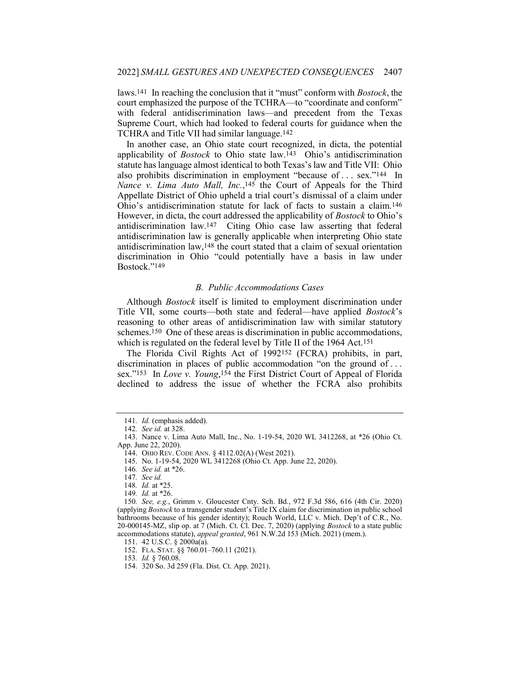laws.141 In reaching the conclusion that it "must" conform with Bostock, the court emphasized the purpose of the TCHRA—to "coordinate and conform" with federal antidiscrimination laws—and precedent from the Texas Supreme Court, which had looked to federal courts for guidance when the TCHRA and Title VII had similar language.142

In another case, an Ohio state court recognized, in dicta, the potential applicability of Bostock to Ohio state law.143 Ohio's antidiscrimination statute has language almost identical to both Texas's law and Title VII: Ohio also prohibits discrimination in employment "because of . . . sex."144 In Nance v. Lima Auto Mall, Inc.,  $145$  the Court of Appeals for the Third Appellate District of Ohio upheld a trial court's dismissal of a claim under Ohio's antidiscrimination statute for lack of facts to sustain a claim.146 However, in dicta, the court addressed the applicability of Bostock to Ohio's antidiscrimination law.147 Citing Ohio case law asserting that federal antidiscrimination law is generally applicable when interpreting Ohio state antidiscrimination law,148 the court stated that a claim of sexual orientation discrimination in Ohio "could potentially have a basis in law under Bostock."149

#### B. Public Accommodations Cases

Although Bostock itself is limited to employment discrimination under Title VII, some courts—both state and federal—have applied Bostock's reasoning to other areas of antidiscrimination law with similar statutory schemes.150 One of these areas is discrimination in public accommodations, which is regulated on the federal level by Title II of the 1964 Act.151

The Florida Civil Rights Act of 1992152 (FCRA) prohibits, in part, discrimination in places of public accommodation "on the ground of . . . sex."<sup>153</sup> In *Love v. Young*,<sup>154</sup> the First District Court of Appeal of Florida declined to address the issue of whether the FCRA also prohibits

153. Id. § 760.08.

<sup>141</sup>. Id. (emphasis added).

<sup>142</sup>. See id. at 328.

 <sup>143.</sup> Nance v. Lima Auto Mall, Inc., No. 1-19-54, 2020 WL 3412268, at \*26 (Ohio Ct. App. June 22, 2020).

 <sup>144.</sup> OHIO REV. CODE ANN. § 4112.02(A) (West 2021).

 <sup>145.</sup> No. 1-19-54, 2020 WL 3412268 (Ohio Ct. App. June 22, 2020).

<sup>146</sup>. See id. at \*26.

<sup>147</sup>. See id.

<sup>148</sup>. Id. at \*25.

<sup>149</sup>. Id. at \*26.

<sup>150</sup>. See, e.g., Grimm v. Gloucester Cnty. Sch. Bd., 972 F.3d 586, 616 (4th Cir. 2020) (applying Bostock to a transgender student's Title IX claim for discrimination in public school bathrooms because of his gender identity); Rouch World, LLC v. Mich. Dep't of C.R., No. 20-000145-MZ, slip op. at 7 (Mich. Ct. Cl. Dec. 7, 2020) (applying Bostock to a state public accommodations statute), *appeal granted*, 961 N.W.2d 153 (Mich. 2021) (mem.).

 <sup>151. 42</sup> U.S.C. § 2000a(a).

 <sup>152.</sup> FLA. STAT. §§ 760.01–760.11 (2021).

 <sup>154. 320</sup> So. 3d 259 (Fla. Dist. Ct. App. 2021).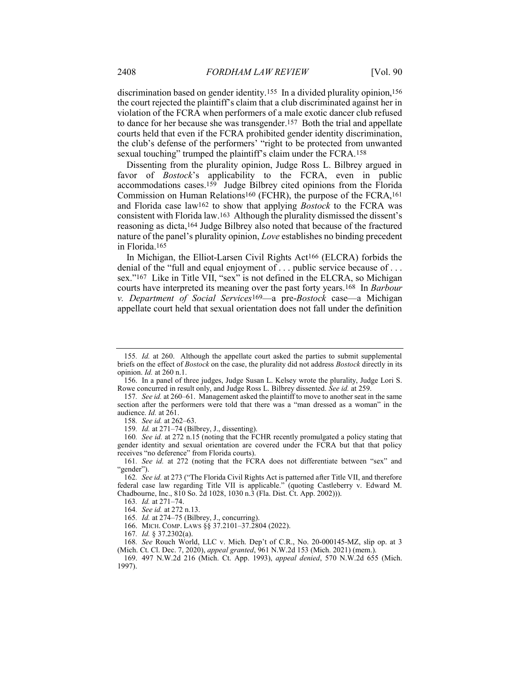discrimination based on gender identity.<sup>155</sup> In a divided plurality opinion,<sup>156</sup> the court rejected the plaintiff's claim that a club discriminated against her in violation of the FCRA when performers of a male exotic dancer club refused to dance for her because she was transgender.157 Both the trial and appellate courts held that even if the FCRA prohibited gender identity discrimination, the club's defense of the performers' "right to be protected from unwanted sexual touching" trumped the plaintiff's claim under the FCRA.<sup>158</sup>

Dissenting from the plurality opinion, Judge Ross L. Bilbrey argued in favor of *Bostock*'s applicability to the FCRA, even in public accommodations cases.159 Judge Bilbrey cited opinions from the Florida Commission on Human Relations160 (FCHR), the purpose of the FCRA,161 and Florida case law162 to show that applying Bostock to the FCRA was consistent with Florida law.163 Although the plurality dismissed the dissent's reasoning as dicta,164 Judge Bilbrey also noted that because of the fractured nature of the panel's plurality opinion, Love establishes no binding precedent in Florida.165

In Michigan, the Elliot-Larsen Civil Rights Act166 (ELCRA) forbids the denial of the "full and equal enjoyment of . . . public service because of . . . sex."167 Like in Title VII, "sex" is not defined in the ELCRA, so Michigan courts have interpreted its meaning over the past forty years.168 In Barbour v. Department of Social Services<sup>169</sup>—a pre-Bostock case—a Michigan appellate court held that sexual orientation does not fall under the definition

<sup>155</sup>. Id. at 260. Although the appellate court asked the parties to submit supplemental briefs on the effect of *Bostock* on the case, the plurality did not address *Bostock* directly in its opinion. Id. at 260 n.1.

 <sup>156.</sup> In a panel of three judges, Judge Susan L. Kelsey wrote the plurality, Judge Lori S. Rowe concurred in result only, and Judge Ross L. Bilbrey dissented. See id. at 259.

<sup>157.</sup> See id. at 260–61. Management asked the plaintiff to move to another seat in the same section after the performers were told that there was a "man dressed as a woman" in the audience. Id. at 261.

<sup>158</sup>. See id. at 262–63.

<sup>159</sup>. Id. at 271–74 (Bilbrey, J., dissenting).

<sup>160</sup>. See id. at 272 n.15 (noting that the FCHR recently promulgated a policy stating that gender identity and sexual orientation are covered under the FCRA but that that policy receives "no deference" from Florida courts).

<sup>161</sup>. See id. at 272 (noting that the FCRA does not differentiate between "sex" and "gender").

<sup>162.</sup> See id. at 273 ("The Florida Civil Rights Act is patterned after Title VII, and therefore federal case law regarding Title VII is applicable." (quoting Castleberry v. Edward M. Chadbourne, Inc., 810 So. 2d 1028, 1030 n.3 (Fla. Dist. Ct. App. 2002))).

<sup>163</sup>. Id. at 271–74.

<sup>164</sup>. See id. at 272 n.13.

<sup>165</sup>. Id. at 274–75 (Bilbrey, J., concurring).

 <sup>166.</sup> MICH. COMP. LAWS §§ 37.2101–37.2804 (2022).

<sup>167</sup>. Id. § 37.2302(a).

<sup>168</sup>. See Rouch World, LLC v. Mich. Dep't of C.R., No. 20-000145-MZ, slip op. at 3 (Mich. Ct. Cl. Dec. 7, 2020), appeal granted, 961 N.W.2d 153 (Mich. 2021) (mem.).

 <sup>169. 497</sup> N.W.2d 216 (Mich. Ct. App. 1993), appeal denied, 570 N.W.2d 655 (Mich. 1997).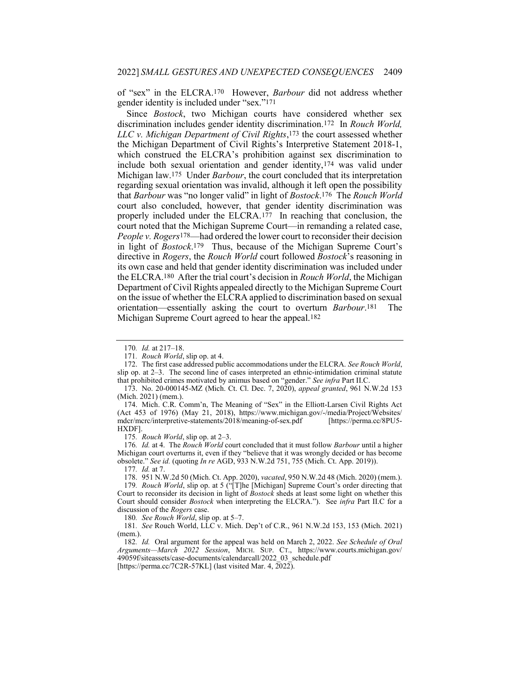of "sex" in the ELCRA.170 However, Barbour did not address whether gender identity is included under "sex."171

Since Bostock, two Michigan courts have considered whether sex discrimination includes gender identity discrimination.172 In Rouch World, LLC v. Michigan Department of Civil Rights,<sup>173</sup> the court assessed whether the Michigan Department of Civil Rights's Interpretive Statement 2018-1, which construed the ELCRA's prohibition against sex discrimination to include both sexual orientation and gender identity,174 was valid under Michigan law.175 Under Barbour, the court concluded that its interpretation regarding sexual orientation was invalid, although it left open the possibility that Barbour was "no longer valid" in light of Bostock.<sup>176</sup> The Rouch World court also concluded, however, that gender identity discrimination was properly included under the ELCRA.177 In reaching that conclusion, the court noted that the Michigan Supreme Court—in remanding a related case, People v. Rogers<sup>178</sup>—had ordered the lower court to reconsider their decision in light of *Bostock*.<sup>179</sup> Thus, because of the Michigan Supreme Court's directive in *Rogers*, the *Rouch World* court followed *Bostock*'s reasoning in its own case and held that gender identity discrimination was included under the ELCRA.180 After the trial court's decision in Rouch World, the Michigan Department of Civil Rights appealed directly to the Michigan Supreme Court on the issue of whether the ELCRA applied to discrimination based on sexual orientation—essentially asking the court to overturn Barbour.181 The Michigan Supreme Court agreed to hear the appeal.182

 173. No. 20-000145-MZ (Mich. Ct. Cl. Dec. 7, 2020), appeal granted, 961 N.W.2d 153 (Mich. 2021) (mem.).

 174. Mich. C.R. Comm'n, The Meaning of "Sex" in the Elliott-Larsen Civil Rights Act (Act 453 of 1976) (May 21, 2018), https://www.michigan.gov/-/media/Project/Websites/ mdcr/mcrc/interpretive-statements/2018/meaning-of-sex.pdf [https://perma.cc/8PU5- HXDF].

175. Rouch World, slip op. at  $2-3$ .

176. Id. at 4. The Rouch World court concluded that it must follow Barbour until a higher Michigan court overturns it, even if they "believe that it was wrongly decided or has become obsolete." See id. (quoting In re AGD, 933 N.W.2d 751, 755 (Mich. Ct. App. 2019)).

177. Id. at 7.

178. 951 N.W.2d 50 (Mich. Ct. App. 2020), vacated, 950 N.W.2d 48 (Mich. 2020) (mem.).

179. Rouch World, slip op. at 5 ("[T]he [Michigan] Supreme Court's order directing that Court to reconsider its decision in light of Bostock sheds at least some light on whether this Court should consider *Bostock* when interpreting the ELCRA."). See *infra* Part II.C for a discussion of the Rogers case.

180. See Rouch World, slip op. at 5–7.

181. See Rouch World, LLC v. Mich. Dep't of C.R., 961 N.W.2d 153, 153 (Mich. 2021) (mem.).

182. Id. Oral argument for the appeal was held on March 2, 2022. See Schedule of Oral Arguments—March 2022 Session, MICH. SUP. CT., https://www.courts.michigan.gov/ 49059f/siteassets/case-documents/calendarcall/2022\_03\_schedule.pdf [https://perma.cc/7C2R-57KL] (last visited Mar. 4,  $2022$ ).

<sup>170</sup>. Id. at 217–18.

<sup>171</sup>. Rouch World, slip op. at 4.

<sup>172.</sup> The first case addressed public accommodations under the ELCRA. See Rouch World, slip op. at 2–3. The second line of cases interpreted an ethnic-intimidation criminal statute that prohibited crimes motivated by animus based on "gender." See infra Part II.C.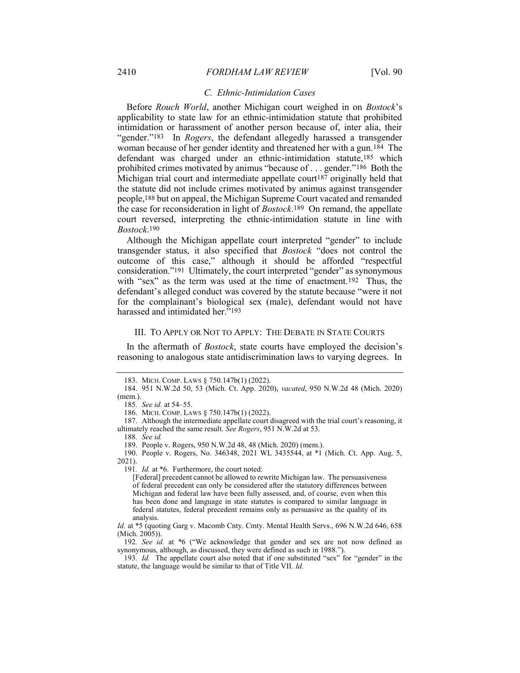#### C. Ethnic-Intimidation Cases

Before Rouch World, another Michigan court weighed in on Bostock's applicability to state law for an ethnic-intimidation statute that prohibited intimidation or harassment of another person because of, inter alia, their "gender."<sup>183</sup> In *Rogers*, the defendant allegedly harassed a transgender woman because of her gender identity and threatened her with a gun.184 The defendant was charged under an ethnic-intimidation statute,185 which prohibited crimes motivated by animus "because of . . . gender."186 Both the Michigan trial court and intermediate appellate court<sup>187</sup> originally held that the statute did not include crimes motivated by animus against transgender people,188 but on appeal, the Michigan Supreme Court vacated and remanded the case for reconsideration in light of Bostock.189 On remand, the appellate court reversed, interpreting the ethnic-intimidation statute in line with Bostock.190

Although the Michigan appellate court interpreted "gender" to include transgender status, it also specified that Bostock "does not control the outcome of this case," although it should be afforded "respectful consideration."191 Ultimately, the court interpreted "gender" as synonymous with "sex" as the term was used at the time of enactment.<sup>192</sup> Thus, the defendant's alleged conduct was covered by the statute because "were it not for the complainant's biological sex (male), defendant would not have harassed and intimidated her."193

#### III. TO APPLY OR NOT TO APPLY: THE DEBATE IN STATE COURTS

In the aftermath of *Bostock*, state courts have employed the decision's reasoning to analogous state antidiscrimination laws to varying degrees. In

191. *Id.* at \*6. Furthermore, the court noted:

 <sup>183.</sup> MICH. COMP. LAWS § 750.147b(1) (2022).

 <sup>184. 951</sup> N.W.2d 50, 53 (Mich. Ct. App. 2020), vacated, 950 N.W.2d 48 (Mich. 2020)

<sup>(</sup>mem.). 185. See id. at 54–55.

 <sup>186.</sup> MICH. COMP. LAWS § 750.147b(1) (2022).

 <sup>187.</sup> Although the intermediate appellate court disagreed with the trial court's reasoning, it ultimately reached the same result. See Rogers, 951 N.W.2d at 53.

<sup>188</sup>. See id.

 <sup>189.</sup> People v. Rogers, 950 N.W.2d 48, 48 (Mich. 2020) (mem.).

 <sup>190.</sup> People v. Rogers, No. 346348, 2021 WL 3435544, at \*1 (Mich. Ct. App. Aug. 5, 2021).

<sup>[</sup>Federal] precedent cannot be allowed to rewrite Michigan law. The persuasiveness of federal precedent can only be considered after the statutory differences between Michigan and federal law have been fully assessed, and, of course, even when this has been done and language in state statutes is compared to similar language in federal statutes, federal precedent remains only as persuasive as the quality of its analysis.

Id. at \*5 (quoting Garg v. Macomb Cnty. Cmty. Mental Health Servs., 696 N.W.2d 646, 658  $(Mich. 2005)$ ).

<sup>192.</sup> See id. at \*6 ("We acknowledge that gender and sex are not now defined as synonymous, although, as discussed, they were defined as such in 1988.").

<sup>193</sup>. Id. The appellate court also noted that if one substituted "sex" for "gender" in the statute, the language would be similar to that of Title VII. Id.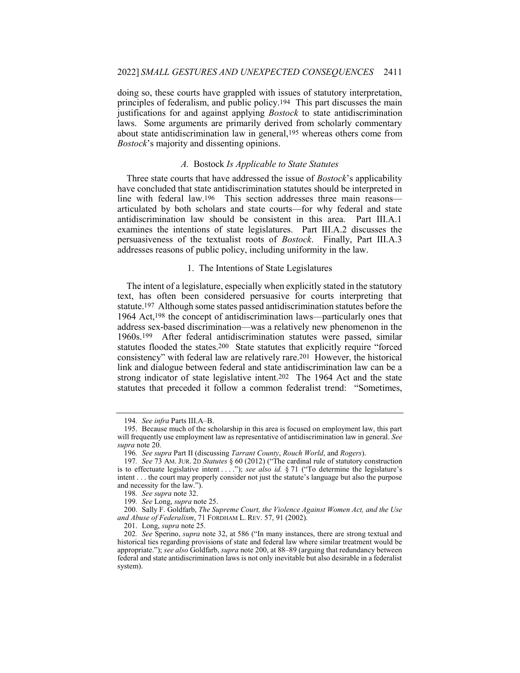doing so, these courts have grappled with issues of statutory interpretation, principles of federalism, and public policy.194 This part discusses the main justifications for and against applying Bostock to state antidiscrimination laws. Some arguments are primarily derived from scholarly commentary about state antidiscrimination law in general,195 whereas others come from Bostock's majority and dissenting opinions.

#### A. Bostock Is Applicable to State Statutes

Three state courts that have addressed the issue of *Bostock*'s applicability have concluded that state antidiscrimination statutes should be interpreted in line with federal law.<sup>196</sup> This section addresses three main reasons articulated by both scholars and state courts—for why federal and state antidiscrimination law should be consistent in this area. Part III.A.1 examines the intentions of state legislatures. Part III.A.2 discusses the persuasiveness of the textualist roots of Bostock. Finally, Part III.A.3 addresses reasons of public policy, including uniformity in the law.

#### 1. The Intentions of State Legislatures

The intent of a legislature, especially when explicitly stated in the statutory text, has often been considered persuasive for courts interpreting that statute.197 Although some states passed antidiscrimination statutes before the 1964 Act,198 the concept of antidiscrimination laws—particularly ones that address sex-based discrimination—was a relatively new phenomenon in the 1960s.199 After federal antidiscrimination statutes were passed, similar statutes flooded the states.200 State statutes that explicitly require "forced consistency" with federal law are relatively rare.201 However, the historical link and dialogue between federal and state antidiscrimination law can be a strong indicator of state legislative intent.202 The 1964 Act and the state statutes that preceded it follow a common federalist trend: "Sometimes,

<sup>194</sup>. See infra Parts III.A–B.

 <sup>195.</sup> Because much of the scholarship in this area is focused on employment law, this part will frequently use employment law as representative of antidiscrimination law in general. See supra note 20.

<sup>196.</sup> See supra Part II (discussing Tarrant County, Rouch World, and Rogers).

<sup>197</sup>. See 73 AM. JUR. 2D Statutes § 60 (2012) ("The cardinal rule of statutory construction is to effectuate legislative intent . . . . "); see also id.  $\S 71$  ("To determine the legislature's intent . . . the court may properly consider not just the statute's language but also the purpose and necessity for the law.").

<sup>198</sup>. See supra note 32.

<sup>199</sup>. See Long, supra note 25.

 <sup>200.</sup> Sally F. Goldfarb, The Supreme Court, the Violence Against Women Act, and the Use and Abuse of Federalism, 71 FORDHAM L. REV. 57, 91 (2002).

 <sup>201.</sup> Long, supra note 25.

<sup>202</sup>. See Sperino, supra note 32, at 586 ("In many instances, there are strong textual and historical ties regarding provisions of state and federal law where similar treatment would be appropriate."); see also Goldfarb, supra note 200, at 88–89 (arguing that redundancy between federal and state antidiscrimination laws is not only inevitable but also desirable in a federalist system).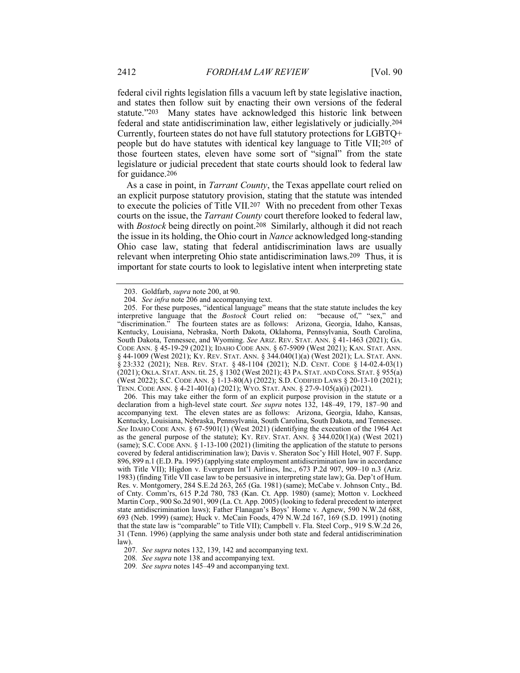federal civil rights legislation fills a vacuum left by state legislative inaction, and states then follow suit by enacting their own versions of the federal statute."203 Many states have acknowledged this historic link between federal and state antidiscrimination law, either legislatively or judicially.204 Currently, fourteen states do not have full statutory protections for LGBTQ+ people but do have statutes with identical key language to Title VII;205 of those fourteen states, eleven have some sort of "signal" from the state legislature or judicial precedent that state courts should look to federal law for guidance.206

As a case in point, in *Tarrant County*, the Texas appellate court relied on an explicit purpose statutory provision, stating that the statute was intended to execute the policies of Title VII.207 With no precedent from other Texas courts on the issue, the Tarrant County court therefore looked to federal law, with *Bostock* being directly on point.<sup>208</sup> Similarly, although it did not reach the issue in its holding, the Ohio court in Nance acknowledged long-standing Ohio case law, stating that federal antidiscrimination laws are usually relevant when interpreting Ohio state antidiscrimination laws.209 Thus, it is important for state courts to look to legislative intent when interpreting state

 206. This may take either the form of an explicit purpose provision in the statute or a declaration from a high-level state court. See supra notes 132, 148–49, 179, 187–90 and accompanying text. The eleven states are as follows: Arizona, Georgia, Idaho, Kansas, Kentucky, Louisiana, Nebraska, Pennsylvania, South Carolina, South Dakota, and Tennessee. See IDAHO CODE ANN. § 67-5901(1) (West 2021) (identifying the execution of the 1964 Act as the general purpose of the statute); KY. REV. STAT. ANN. § 344.020(1)(a) (West 2021) (same); S.C. CODE ANN. § 1-13-100 (2021) (limiting the application of the statute to persons covered by federal antidiscrimination law); Davis v. Sheraton Soc'y Hill Hotel, 907 F. Supp. 896, 899 n.1 (E.D. Pa. 1995) (applying state employment antidiscrimination law in accordance with Title VII); Higdon v. Evergreen Int'l Airlines, Inc., 673 P.2d 907, 909–10 n.3 (Ariz. 1983) (finding Title VII case law to be persuasive in interpreting state law); Ga. Dep't of Hum. Res. v. Montgomery, 284 S.E.2d 263, 265 (Ga. 1981) (same); McCabe v. Johnson Cnty., Bd. of Cnty. Comm'rs, 615 P.2d 780, 783 (Kan. Ct. App. 1980) (same); Motton v. Lockheed Martin Corp., 900 So.2d 901, 909 (La. Ct. App. 2005) (looking to federal precedent to interpret state antidiscrimination laws); Father Flanagan's Boys' Home v. Agnew, 590 N.W.2d 688, 693 (Neb. 1999) (same); Huck v. McCain Foods, 479 N.W.2d 167, 169 (S.D. 1991) (noting that the state law is "comparable" to Title VII); Campbell v. Fla. Steel Corp., 919 S.W.2d 26, 31 (Tenn. 1996) (applying the same analysis under both state and federal antidiscrimination law).

208. See supra note 138 and accompanying text.

 <sup>203.</sup> Goldfarb, supra note 200, at 90.

<sup>204</sup>. See infra note 206 and accompanying text.

 <sup>205.</sup> For these purposes, "identical language" means that the state statute includes the key interpretive language that the Bostock Court relied on: "because of," "sex," and "discrimination." The fourteen states are as follows: Arizona, Georgia, Idaho, Kansas, Kentucky, Louisiana, Nebraska, North Dakota, Oklahoma, Pennsylvania, South Carolina, South Dakota, Tennessee, and Wyoming. See ARIZ. REV. STAT. ANN. § 41-1463 (2021); GA. CODE ANN. § 45-19-29 (2021); IDAHO CODE ANN. § 67-5909 (West 2021); KAN. STAT. ANN. § 44-1009 (West 2021); KY. REV. STAT. ANN. § 344.040(1)(a) (West 2021); LA. STAT. ANN. § 23:332 (2021); NEB. REV. STAT. § 48-1104 (2021); N.D. CENT. CODE § 14-02.4-03(1) (2021); OKLA. STAT. ANN. tit. 25, § 1302 (West 2021); 43 PA. STAT. AND CONS. STAT. § 955(a) (West 2022); S.C. CODE ANN. § 1-13-80(A) (2022); S.D. CODIFIED LAWS § 20-13-10 (2021); TENN. CODE ANN. § 4-21-401(a) (2021); WYO. STAT. ANN. § 27-9-105(a)(i) (2021).

<sup>207</sup>. See supra notes 132, 139, 142 and accompanying text.

<sup>209</sup>. See supra notes 145–49 and accompanying text.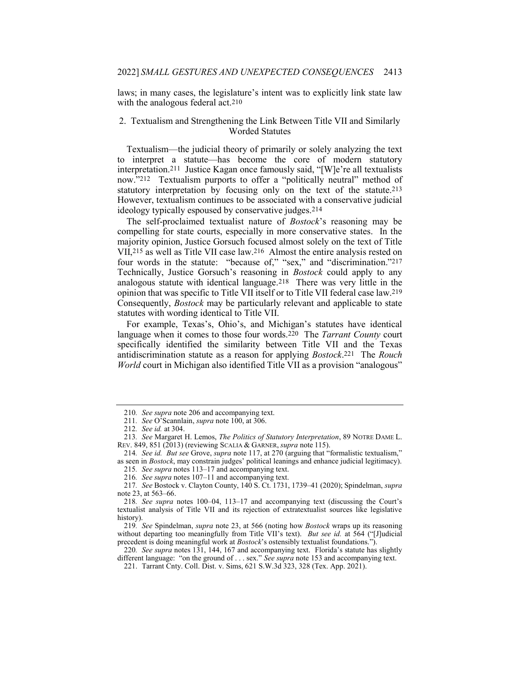laws; in many cases, the legislature's intent was to explicitly link state law with the analogous federal act.<sup>210</sup>

#### 2. Textualism and Strengthening the Link Between Title VII and Similarly Worded Statutes

Textualism—the judicial theory of primarily or solely analyzing the text to interpret a statute—has become the core of modern statutory interpretation.211 Justice Kagan once famously said, "[W]e're all textualists now."212 Textualism purports to offer a "politically neutral" method of statutory interpretation by focusing only on the text of the statute.213 However, textualism continues to be associated with a conservative judicial ideology typically espoused by conservative judges.214

The self-proclaimed textualist nature of Bostock's reasoning may be compelling for state courts, especially in more conservative states. In the majority opinion, Justice Gorsuch focused almost solely on the text of Title VII,215 as well as Title VII case law.216 Almost the entire analysis rested on four words in the statute: "because of," "sex," and "discrimination."217 Technically, Justice Gorsuch's reasoning in Bostock could apply to any analogous statute with identical language.218 There was very little in the opinion that was specific to Title VII itself or to Title VII federal case law.219 Consequently, Bostock may be particularly relevant and applicable to state statutes with wording identical to Title VII.

For example, Texas's, Ohio's, and Michigan's statutes have identical language when it comes to those four words.<sup>220</sup> The *Tarrant County* court specifically identified the similarity between Title VII and the Texas antidiscrimination statute as a reason for applying Bostock.221 The Rouch World court in Michigan also identified Title VII as a provision "analogous"

219. See Spindelman, supra note 23, at 566 (noting how Bostock wraps up its reasoning without departing too meaningfully from Title VII's text). But see id. at 564 ("[J]udicial precedent is doing meaningful work at *Bostock*'s ostensibly textualist foundations.").

<sup>210</sup>. See supra note 206 and accompanying text.

<sup>211.</sup> See O'Scannlain, supra note 100, at 306.

<sup>212</sup>. See id. at 304.

<sup>213</sup>. See Margaret H. Lemos, The Politics of Statutory Interpretation, 89 NOTRE DAME L. REV. 849, 851 (2013) (reviewing SCALIA & GARNER, supra note 115).

<sup>214</sup>. See id. But see Grove, supra note 117, at 270 (arguing that "formalistic textualism," as seen in Bostock, may constrain judges' political leanings and enhance judicial legitimacy).

<sup>215</sup>. See supra notes 113–17 and accompanying text.

<sup>216</sup>. See supra notes 107–11 and accompanying text.

<sup>217.</sup> See Bostock v. Clayton County, 140 S. Ct. 1731, 1739–41 (2020); Spindelman, supra note 23, at 563–66.

<sup>218</sup>. See supra notes 100–04, 113–17 and accompanying text (discussing the Court's textualist analysis of Title VII and its rejection of extratextualist sources like legislative history).

<sup>220.</sup> See supra notes 131, 144, 167 and accompanying text. Florida's statute has slightly different language: "on the ground of . . . sex." See supra note 153 and accompanying text.

 <sup>221.</sup> Tarrant Cnty. Coll. Dist. v. Sims, 621 S.W.3d 323, 328 (Tex. App. 2021).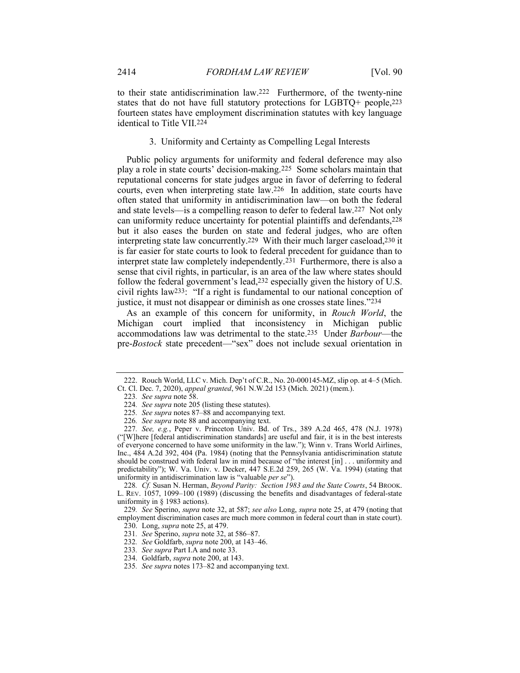to their state antidiscrimination law.222 Furthermore, of the twenty-nine states that do not have full statutory protections for LGBTQ+ people,223 fourteen states have employment discrimination statutes with key language identical to Title VII.224

#### 3. Uniformity and Certainty as Compelling Legal Interests

Public policy arguments for uniformity and federal deference may also play a role in state courts' decision-making.225 Some scholars maintain that reputational concerns for state judges argue in favor of deferring to federal courts, even when interpreting state law.226 In addition, state courts have often stated that uniformity in antidiscrimination law—on both the federal and state levels—is a compelling reason to defer to federal law.227 Not only can uniformity reduce uncertainty for potential plaintiffs and defendants,228 but it also eases the burden on state and federal judges, who are often interpreting state law concurrently.229 With their much larger caseload,230 it is far easier for state courts to look to federal precedent for guidance than to interpret state law completely independently.231 Furthermore, there is also a sense that civil rights, in particular, is an area of the law where states should follow the federal government's lead,232 especially given the history of U.S. civil rights law233: "If a right is fundamental to our national conception of justice, it must not disappear or diminish as one crosses state lines."234

As an example of this concern for uniformity, in Rouch World, the Michigan court implied that inconsistency in Michigan public accommodations law was detrimental to the state.235 Under Barbour—the pre-Bostock state precedent—"sex" does not include sexual orientation in

228. Cf. Susan N. Herman, Beyond Parity: Section 1983 and the State Courts, 54 BROOK. L. REV. 1057, 1099–100 (1989) (discussing the benefits and disadvantages of federal-state uniformity in § 1983 actions).

 <sup>222.</sup> Rouch World, LLC v. Mich. Dep't of C.R., No. 20-000145-MZ, slip op. at 4–5 (Mich.

Ct. Cl. Dec. 7, 2020), appeal granted, 961 N.W.2d 153 (Mich. 2021) (mem.).

<sup>223</sup>. See supra note 58.

<sup>224</sup>. See supra note 205 (listing these statutes).

<sup>225</sup>. See supra notes 87–88 and accompanying text.

<sup>226</sup>. See supra note 88 and accompanying text.

<sup>227</sup>. See, e.g., Peper v. Princeton Univ. Bd. of Trs., 389 A.2d 465, 478 (N.J. 1978) ("[W]here [federal antidiscrimination standards] are useful and fair, it is in the best interests of everyone concerned to have some uniformity in the law."); Winn v. Trans World Airlines, Inc., 484 A.2d 392, 404 (Pa. 1984) (noting that the Pennsylvania antidiscrimination statute should be construed with federal law in mind because of "the interest [in] . . . uniformity and predictability"); W. Va. Univ. v. Decker, 447 S.E.2d 259, 265 (W. Va. 1994) (stating that uniformity in antidiscrimination law is "valuable per se").

<sup>229.</sup> See Sperino, supra note 32, at 587; see also Long, supra note 25, at 479 (noting that employment discrimination cases are much more common in federal court than in state court). 230. Long, *supra* note 25, at 479.

<sup>231.</sup> See Sperino, *supra* note 32, at 586–87. 232. See Goldfarb, supra note 200, at 143–46.

<sup>233</sup>. See supra Part I.A and note 33.

 <sup>234.</sup> Goldfarb, supra note 200, at 143.

<sup>235</sup>. See supra notes 173–82 and accompanying text.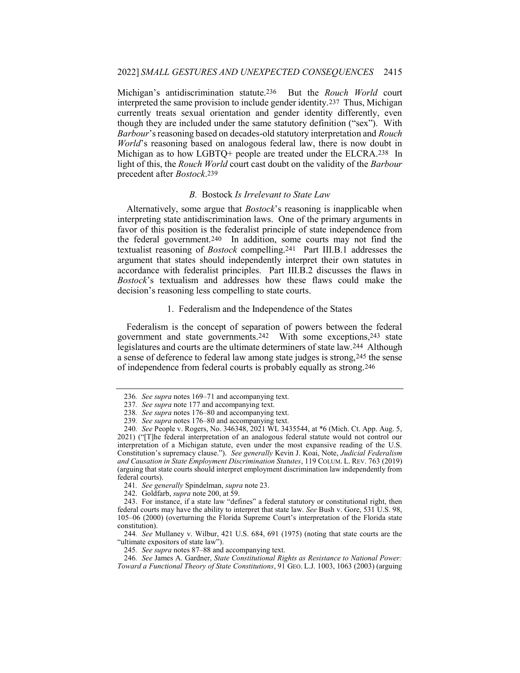Michigan's antidiscrimination statute.<sup>236</sup> But the Rouch World court interpreted the same provision to include gender identity.237 Thus, Michigan currently treats sexual orientation and gender identity differently, even though they are included under the same statutory definition ("sex"). With Barbour's reasoning based on decades-old statutory interpretation and Rouch World's reasoning based on analogous federal law, there is now doubt in Michigan as to how LGBTQ+ people are treated under the ELCRA.238 In light of this, the Rouch World court cast doubt on the validity of the Barbour precedent after Bostock.239

#### B. Bostock Is Irrelevant to State Law

Alternatively, some argue that *Bostock*'s reasoning is inapplicable when interpreting state antidiscrimination laws. One of the primary arguments in favor of this position is the federalist principle of state independence from the federal government.240 In addition, some courts may not find the textualist reasoning of Bostock compelling.241 Part III.B.1 addresses the argument that states should independently interpret their own statutes in accordance with federalist principles. Part III.B.2 discusses the flaws in Bostock's textualism and addresses how these flaws could make the decision's reasoning less compelling to state courts.

#### 1. Federalism and the Independence of the States

Federalism is the concept of separation of powers between the federal government and state governments.242 With some exceptions,243 state legislatures and courts are the ultimate determiners of state law.244 Although a sense of deference to federal law among state judges is strong,245 the sense of independence from federal courts is probably equally as strong.246

<sup>236</sup>. See supra notes 169–71 and accompanying text.

<sup>237</sup>. See supra note 177 and accompanying text.

<sup>238</sup>. See supra notes 176–80 and accompanying text.

<sup>239</sup>. See supra notes 176–80 and accompanying text.

<sup>240</sup>. See People v. Rogers, No. 346348, 2021 WL 3435544, at \*6 (Mich. Ct. App. Aug. 5, 2021) ("[T]he federal interpretation of an analogous federal statute would not control our interpretation of a Michigan statute, even under the most expansive reading of the U.S. Constitution's supremacy clause."). See generally Kevin J. Koai, Note, Judicial Federalism and Causation in State Employment Discrimination Statutes, 119 COLUM. L. REV. 763 (2019) (arguing that state courts should interpret employment discrimination law independently from federal courts).

<sup>241.</sup> See generally Spindelman, supra note 23.

 <sup>242.</sup> Goldfarb, supra note 200, at 59.

 <sup>243.</sup> For instance, if a state law "defines" a federal statutory or constitutional right, then federal courts may have the ability to interpret that state law. See Bush v. Gore, 531 U.S. 98, 105–06 (2000) (overturning the Florida Supreme Court's interpretation of the Florida state constitution).

<sup>244</sup>. See Mullaney v. Wilbur, 421 U.S. 684, 691 (1975) (noting that state courts are the "ultimate expositors of state law").

<sup>245</sup>. See supra notes 87–88 and accompanying text.

<sup>246</sup>. See James A. Gardner, State Constitutional Rights as Resistance to National Power: Toward a Functional Theory of State Constitutions, 91 GEO. L.J. 1003, 1063 (2003) (arguing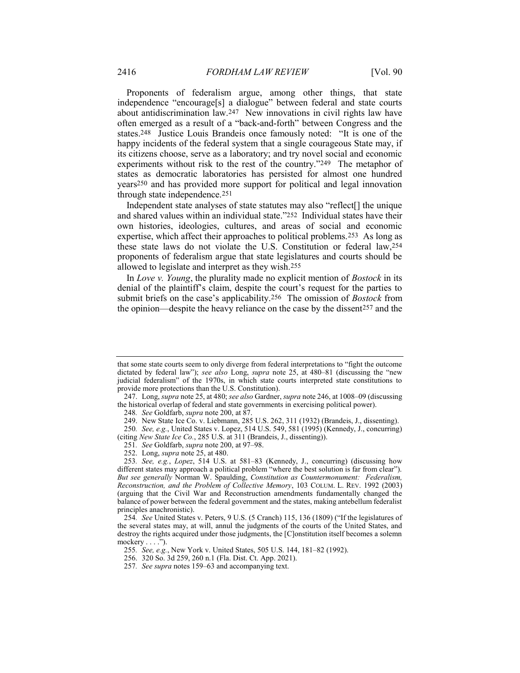Proponents of federalism argue, among other things, that state independence "encourage[s] a dialogue" between federal and state courts about antidiscrimination law.247 New innovations in civil rights law have often emerged as a result of a "back-and-forth" between Congress and the states.248 Justice Louis Brandeis once famously noted: "It is one of the happy incidents of the federal system that a single courageous State may, if its citizens choose, serve as a laboratory; and try novel social and economic experiments without risk to the rest of the country."249 The metaphor of states as democratic laboratories has persisted for almost one hundred years250 and has provided more support for political and legal innovation through state independence.251

Independent state analyses of state statutes may also "reflect[] the unique and shared values within an individual state."252 Individual states have their own histories, ideologies, cultures, and areas of social and economic expertise, which affect their approaches to political problems.253 As long as these state laws do not violate the U.S. Constitution or federal law,254 proponents of federalism argue that state legislatures and courts should be allowed to legislate and interpret as they wish.255

In Love v. Young, the plurality made no explicit mention of Bostock in its denial of the plaintiff's claim, despite the court's request for the parties to submit briefs on the case's applicability.<sup>256</sup> The omission of *Bostock* from the opinion—despite the heavy reliance on the case by the dissent257 and the

that some state courts seem to only diverge from federal interpretations to "fight the outcome dictated by federal law"); see also Long, supra note 25, at 480–81 (discussing the "new judicial federalism" of the 1970s, in which state courts interpreted state constitutions to provide more protections than the U.S. Constitution).

<sup>247.</sup> Long, supra note 25, at 480; see also Gardner, supra note 246, at 1008–09 (discussing the historical overlap of federal and state governments in exercising political power).

<sup>248</sup>. See Goldfarb, supra note 200, at 87.

<sup>249.</sup> New State Ice Co. v. Liebmann, 285 U.S. 262, 311 (1932) (Brandeis, J., dissenting). 250. See, e.g., United States v. Lopez, 514 U.S. 549, 581 (1995) (Kennedy, J., concurring)

<sup>(</sup>citing New State Ice Co., 285 U.S. at 311 (Brandeis, J., dissenting)).

<sup>251.</sup> See Goldfarb, supra note 200, at 97-98.

 <sup>252.</sup> Long, supra note 25, at 480.

<sup>253</sup>. See, e.g., Lopez, 514 U.S. at 581–83 (Kennedy, J., concurring) (discussing how different states may approach a political problem "where the best solution is far from clear"). But see generally Norman W. Spaulding, Constitution as Countermonument: Federalism, Reconstruction, and the Problem of Collective Memory, 103 COLUM. L. REV. 1992 (2003) (arguing that the Civil War and Reconstruction amendments fundamentally changed the balance of power between the federal government and the states, making antebellum federalist principles anachronistic).

<sup>254</sup>. See United States v. Peters, 9 U.S. (5 Cranch) 115, 136 (1809) ("If the legislatures of the several states may, at will, annul the judgments of the courts of the United States, and destroy the rights acquired under those judgments, the [C]onstitution itself becomes a solemn mockery . . . .").

<sup>255</sup>. See, e.g., New York v. United States, 505 U.S. 144, 181–82 (1992).

 <sup>256. 320</sup> So. 3d 259, 260 n.1 (Fla. Dist. Ct. App. 2021).

<sup>257</sup>. See supra notes 159–63 and accompanying text.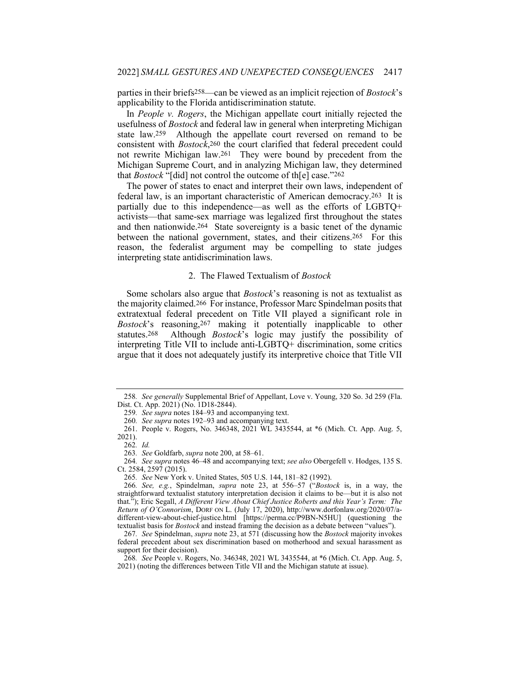parties in their briefs258—can be viewed as an implicit rejection of Bostock's applicability to the Florida antidiscrimination statute.

In People v. Rogers, the Michigan appellate court initially rejected the usefulness of Bostock and federal law in general when interpreting Michigan state law.259 Although the appellate court reversed on remand to be consistent with Bostock,260 the court clarified that federal precedent could not rewrite Michigan law.261 They were bound by precedent from the Michigan Supreme Court, and in analyzing Michigan law, they determined that Bostock "[did] not control the outcome of th[e] case."262

The power of states to enact and interpret their own laws, independent of federal law, is an important characteristic of American democracy.263 It is partially due to this independence—as well as the efforts of LGBTQ+ activists—that same-sex marriage was legalized first throughout the states and then nationwide.264 State sovereignty is a basic tenet of the dynamic between the national government, states, and their citizens.265 For this reason, the federalist argument may be compelling to state judges interpreting state antidiscrimination laws.

#### 2. The Flawed Textualism of Bostock

Some scholars also argue that *Bostock*'s reasoning is not as textualist as the majority claimed.266 For instance, Professor Marc Spindelman posits that extratextual federal precedent on Title VII played a significant role in Bostock's reasoning,267 making it potentially inapplicable to other statutes.268 Although Bostock's logic may justify the possibility of interpreting Title VII to include anti-LGBTQ+ discrimination, some critics argue that it does not adequately justify its interpretive choice that Title VII

<sup>258</sup>. See generally Supplemental Brief of Appellant, Love v. Young, 320 So. 3d 259 (Fla. Dist. Ct. App. 2021) (No. 1D18-2844).

<sup>259</sup>. See supra notes 184–93 and accompanying text.

<sup>260</sup>. See supra notes 192–93 and accompanying text.

 <sup>261.</sup> People v. Rogers, No. 346348, 2021 WL 3435544, at \*6 (Mich. Ct. App. Aug. 5, 2021).

<sup>262</sup>. Id.

<sup>263</sup>. See Goldfarb, supra note 200, at 58–61.

<sup>264</sup>. See supra notes 46–48 and accompanying text; see also Obergefell v. Hodges, 135 S. Ct. 2584, 2597 (2015).

<sup>265</sup>. See New York v. United States, 505 U.S. 144, 181–82 (1992).

<sup>266</sup>. See, e.g., Spindelman, supra note 23, at 556–57 ("Bostock is, in a way, the straightforward textualist statutory interpretation decision it claims to be—but it is also not that."); Eric Segall, A Different View About Chief Justice Roberts and this Year's Term: The Return of O'Connorism, DORF ON L. (July 17, 2020), http://www.dorfonlaw.org/2020/07/adifferent-view-about-chief-justice.html [https://perma.cc/P9BN-N5HU] (questioning the textualist basis for Bostock and instead framing the decision as a debate between "values").

<sup>267</sup>. See Spindelman, supra note 23, at 571 (discussing how the Bostock majority invokes federal precedent about sex discrimination based on motherhood and sexual harassment as support for their decision).

<sup>268</sup>. See People v. Rogers, No. 346348, 2021 WL 3435544, at \*6 (Mich. Ct. App. Aug. 5, 2021) (noting the differences between Title VII and the Michigan statute at issue).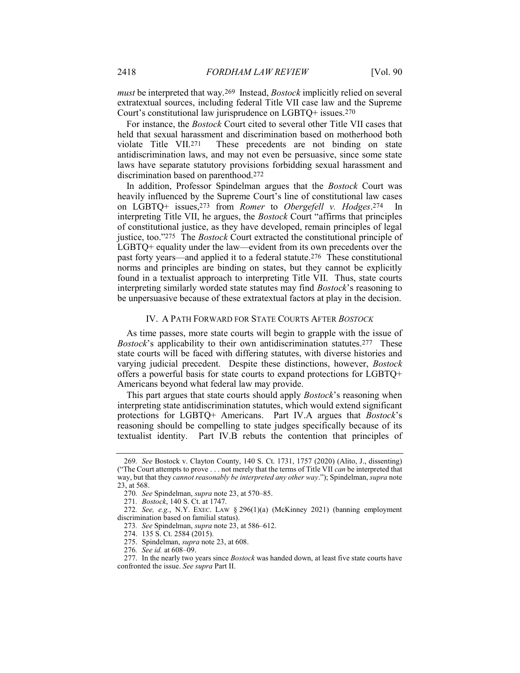must be interpreted that way.<sup>269</sup> Instead, *Bostock* implicitly relied on several extratextual sources, including federal Title VII case law and the Supreme Court's constitutional law jurisprudence on LGBTQ+ issues.270

For instance, the Bostock Court cited to several other Title VII cases that held that sexual harassment and discrimination based on motherhood both violate Title VII.271 These precedents are not binding on state antidiscrimination laws, and may not even be persuasive, since some state laws have separate statutory provisions forbidding sexual harassment and discrimination based on parenthood.272

In addition, Professor Spindelman argues that the Bostock Court was heavily influenced by the Supreme Court's line of constitutional law cases on LGBTQ+ issues,273 from Romer to Obergefell v. Hodges.274 In interpreting Title VII, he argues, the Bostock Court "affirms that principles of constitutional justice, as they have developed, remain principles of legal justice, too."275 The Bostock Court extracted the constitutional principle of LGBTQ+ equality under the law—evident from its own precedents over the past forty years—and applied it to a federal statute.276 These constitutional norms and principles are binding on states, but they cannot be explicitly found in a textualist approach to interpreting Title VII. Thus, state courts interpreting similarly worded state statutes may find Bostock's reasoning to be unpersuasive because of these extratextual factors at play in the decision.

#### IV. A PATH FORWARD FOR STATE COURTS AFTER BOSTOCK

As time passes, more state courts will begin to grapple with the issue of Bostock's applicability to their own antidiscrimination statutes.<sup>277</sup> These state courts will be faced with differing statutes, with diverse histories and varying judicial precedent. Despite these distinctions, however, Bostock offers a powerful basis for state courts to expand protections for LGBTQ+ Americans beyond what federal law may provide.

This part argues that state courts should apply *Bostock*'s reasoning when interpreting state antidiscrimination statutes, which would extend significant protections for LGBTQ+ Americans. Part IV.A argues that Bostock's reasoning should be compelling to state judges specifically because of its textualist identity. Part IV.B rebuts the contention that principles of

<sup>269</sup>. See Bostock v. Clayton County, 140 S. Ct. 1731, 1757 (2020) (Alito, J., dissenting) ("The Court attempts to prove . . . not merely that the terms of Title VII *can* be interpreted that way, but that they cannot reasonably be interpreted any other way."); Spindelman, supra note 23, at 568.

<sup>270</sup>. See Spindelman, supra note 23, at 570–85.

<sup>271</sup>. Bostock, 140 S. Ct. at 1747.

<sup>272</sup>. See, e.g., N.Y. EXEC. LAW § 296(1)(a) (McKinney 2021) (banning employment discrimination based on familial status).

<sup>273</sup>. See Spindelman, supra note 23, at 586–612.

 <sup>274. 135</sup> S. Ct. 2584 (2015).

 <sup>275.</sup> Spindelman, supra note 23, at 608.

<sup>276</sup>. See id. at 608–09.

<sup>277.</sup> In the nearly two years since *Bostock* was handed down, at least five state courts have confronted the issue. See supra Part II.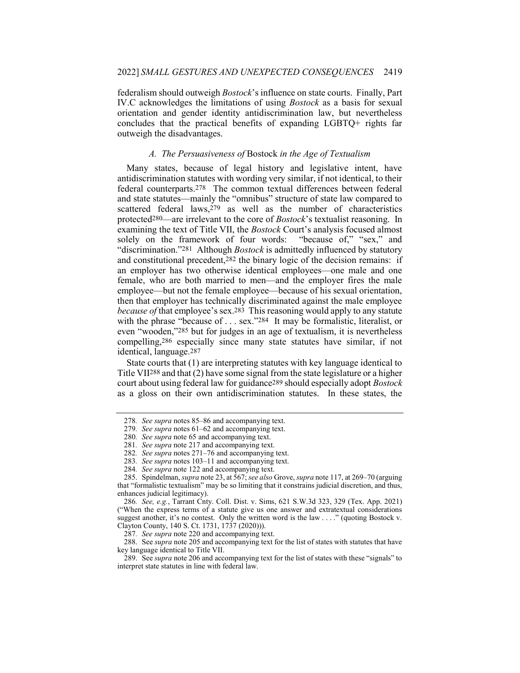federalism should outweigh Bostock's influence on state courts. Finally, Part IV.C acknowledges the limitations of using Bostock as a basis for sexual orientation and gender identity antidiscrimination law, but nevertheless concludes that the practical benefits of expanding LGBTQ+ rights far outweigh the disadvantages.

#### A. The Persuasiveness of Bostock in the Age of Textualism

Many states, because of legal history and legislative intent, have antidiscrimination statutes with wording very similar, if not identical, to their federal counterparts.278 The common textual differences between federal and state statutes—mainly the "omnibus" structure of state law compared to scattered federal laws, $279$  as well as the number of characteristics protected280—are irrelevant to the core of Bostock's textualist reasoning. In examining the text of Title VII, the Bostock Court's analysis focused almost solely on the framework of four words: "because of," "sex," and "discrimination."<sup>281</sup> Although *Bostock* is admittedly influenced by statutory and constitutional precedent,282 the binary logic of the decision remains: if an employer has two otherwise identical employees—one male and one female, who are both married to men—and the employer fires the male employee—but not the female employee—because of his sexual orientation, then that employer has technically discriminated against the male employee because of that employee's sex.283 This reasoning would apply to any statute with the phrase "because of . . . sex."284 It may be formalistic, literalist, or even "wooden,"285 but for judges in an age of textualism, it is nevertheless compelling,286 especially since many state statutes have similar, if not identical, language.287

State courts that (1) are interpreting statutes with key language identical to Title VII288 and that (2) have some signal from the state legislature or a higher court about using federal law for guidance289 should especially adopt Bostock as a gloss on their own antidiscrimination statutes. In these states, the

<sup>278</sup>. See supra notes 85–86 and accompanying text.

<sup>279</sup>. See supra notes 61–62 and accompanying text.

<sup>280</sup>. See supra note 65 and accompanying text.

<sup>281</sup>. See supra note 217 and accompanying text.

<sup>282</sup>. See supra notes 271–76 and accompanying text.

<sup>283</sup>. See supra notes 103–11 and accompanying text.

<sup>284</sup>. See supra note 122 and accompanying text.

<sup>285.</sup> Spindelman, *supra* note 23, at 567; see also Grove, *supra* note 117, at 269–70 (arguing that "formalistic textualism" may be so limiting that it constrains judicial discretion, and thus, enhances judicial legitimacy).

<sup>286</sup>. See, e.g., Tarrant Cnty. Coll. Dist. v. Sims, 621 S.W.3d 323, 329 (Tex. App. 2021) ("When the express terms of a statute give us one answer and extratextual considerations suggest another, it's no contest. Only the written word is the law . . . ." (quoting Bostock v. Clayton County, 140 S. Ct. 1731, 1737 (2020))).

<sup>287</sup>. See supra note 220 and accompanying text.

<sup>288.</sup> See *supra* note 205 and accompanying text for the list of states with statutes that have key language identical to Title VII.

<sup>289.</sup> See *supra* note 206 and accompanying text for the list of states with these "signals" to interpret state statutes in line with federal law.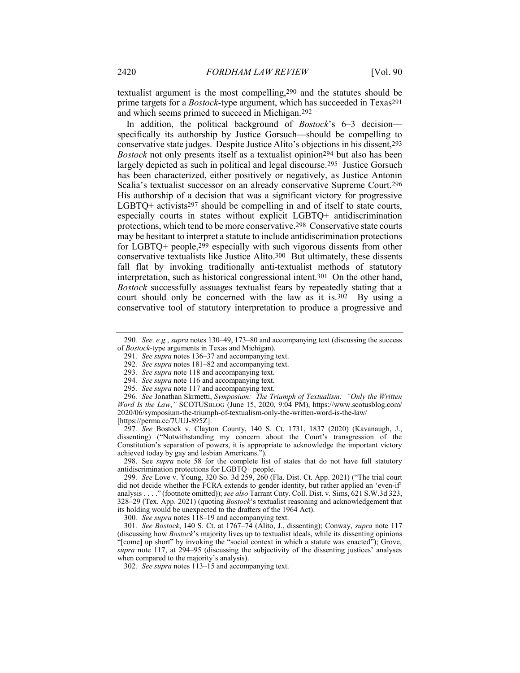textualist argument is the most compelling,290 and the statutes should be prime targets for a Bostock-type argument, which has succeeded in Texas291 and which seems primed to succeed in Michigan.292

In addition, the political background of *Bostock*'s 6–3 decision specifically its authorship by Justice Gorsuch—should be compelling to conservative state judges. Despite Justice Alito's objections in his dissent,293 Bostock not only presents itself as a textualist opinion294 but also has been largely depicted as such in political and legal discourse.295 Justice Gorsuch has been characterized, either positively or negatively, as Justice Antonin Scalia's textualist successor on an already conservative Supreme Court.296 His authorship of a decision that was a significant victory for progressive LGBTQ+ activists $297$  should be compelling in and of itself to state courts, especially courts in states without explicit LGBTQ+ antidiscrimination protections, which tend to be more conservative.298 Conservative state courts may be hesitant to interpret a statute to include antidiscrimination protections for LGBTQ+ people,299 especially with such vigorous dissents from other conservative textualists like Justice Alito.300 But ultimately, these dissents fall flat by invoking traditionally anti-textualist methods of statutory interpretation, such as historical congressional intent.301 On the other hand, Bostock successfully assuages textualist fears by repeatedly stating that a court should only be concerned with the law as it is.302 By using a conservative tool of statutory interpretation to produce a progressive and

297. See Bostock v. Clayton County, 140 S. Ct. 1731, 1837 (2020) (Kavanaugh, J., dissenting) ("Notwithstanding my concern about the Court's transgression of the Constitution's separation of powers, it is appropriate to acknowledge the important victory achieved today by gay and lesbian Americans.").

 298. See supra note 58 for the complete list of states that do not have full statutory antidiscrimination protections for LGBTQ+ people.

299. See Love v. Young, 320 So. 3d 259, 260 (Fla. Dist. Ct. App. 2021) ("The trial court did not decide whether the FCRA extends to gender identity, but rather applied an 'even-if' analysis . . . ." (footnote omitted)); see also Tarrant Cnty. Coll. Dist. v. Sims, 621 S.W.3d 323, 328–29 (Tex. App. 2021) (quoting Bostock's textualist reasoning and acknowledgement that its holding would be unexpected to the drafters of the 1964 Act).

300. See supra notes  $118-19$  and accompanying text.

<sup>290.</sup> See, e.g., supra notes  $130-49$ ,  $173-80$  and accompanying text (discussing the success of Bostock-type arguments in Texas and Michigan).

<sup>291</sup>. See supra notes 136–37 and accompanying text.

<sup>292</sup>. See supra notes 181–82 and accompanying text.

<sup>293</sup>. See supra note 118 and accompanying text.

<sup>294</sup>. See supra note 116 and accompanying text.

<sup>295</sup>. See supra note 117 and accompanying text.

<sup>296</sup>. See Jonathan Skrmetti, Symposium: The Triumph of Textualism: "Only the Written Word Is the Law," SCOTUSBLOG (June 15, 2020, 9:04 PM), https://www.scotusblog.com/ 2020/06/symposium-the-triumph-of-textualism-only-the-written-word-is-the-law/ [https://perma.cc/7UUJ-895Z].

<sup>301</sup>. See Bostock, 140 S. Ct. at 1767–74 (Alito, J., dissenting); Conway, supra note 117 (discussing how Bostock's majority lives up to textualist ideals, while its dissenting opinions "[come] up short" by invoking the "social context in which a statute was enacted"); Grove, supra note 117, at 294–95 (discussing the subjectivity of the dissenting justices' analyses when compared to the majority's analysis).

<sup>302</sup>. See supra notes 113–15 and accompanying text.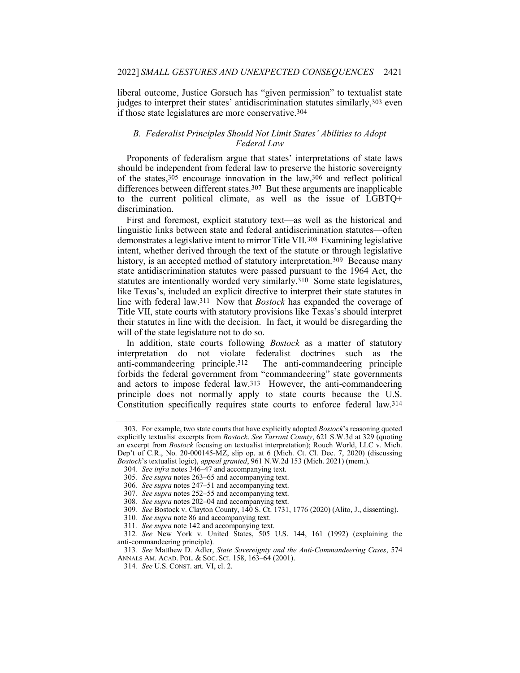liberal outcome, Justice Gorsuch has "given permission" to textualist state judges to interpret their states' antidiscrimination statutes similarly, 303 even if those state legislatures are more conservative.304

#### B. Federalist Principles Should Not Limit States' Abilities to Adopt Federal Law

Proponents of federalism argue that states' interpretations of state laws should be independent from federal law to preserve the historic sovereignty of the states,  $3\overline{05}$  encourage innovation in the law,  $306$  and reflect political differences between different states.307 But these arguments are inapplicable to the current political climate, as well as the issue of LGBTQ+ discrimination.

First and foremost, explicit statutory text—as well as the historical and linguistic links between state and federal antidiscrimination statutes—often demonstrates a legislative intent to mirror Title VII.308 Examining legislative intent, whether derived through the text of the statute or through legislative history, is an accepted method of statutory interpretation.<sup>309</sup> Because many state antidiscrimination statutes were passed pursuant to the 1964 Act, the statutes are intentionally worded very similarly.310 Some state legislatures, like Texas's, included an explicit directive to interpret their state statutes in line with federal law.<sup>311</sup> Now that *Bostock* has expanded the coverage of Title VII, state courts with statutory provisions like Texas's should interpret their statutes in line with the decision. In fact, it would be disregarding the will of the state legislature not to do so.

In addition, state courts following *Bostock* as a matter of statutory interpretation do not violate federalist doctrines such as the anti-commandeering principle.312 The anti-commandeering principle forbids the federal government from "commandeering" state governments and actors to impose federal law.313 However, the anti-commandeering principle does not normally apply to state courts because the U.S. Constitution specifically requires state courts to enforce federal law.314

<sup>303.</sup> For example, two state courts that have explicitly adopted *Bostock*'s reasoning quoted explicitly textualist excerpts from Bostock. See Tarrant County, 621 S.W.3d at 329 (quoting an excerpt from Bostock focusing on textualist interpretation); Rouch World, LLC v. Mich. Dep't of C.R., No. 20-000145-MZ, slip op. at 6 (Mich. Ct. Cl. Dec. 7, 2020) (discussing Bostock's textualist logic), appeal granted, 961 N.W.2d 153 (Mich. 2021) (mem.).

<sup>304</sup>. See infra notes 346–47 and accompanying text.

<sup>305</sup>. See supra notes 263–65 and accompanying text.

<sup>306</sup>. See supra notes 247–51 and accompanying text.

<sup>307</sup>. See supra notes 252–55 and accompanying text.

<sup>308</sup>. See supra notes 202–04 and accompanying text.

<sup>309</sup>. See Bostock v. Clayton County, 140 S. Ct. 1731, 1776 (2020) (Alito, J., dissenting).

<sup>310</sup>. See supra note 86 and accompanying text.

<sup>311</sup>. See supra note 142 and accompanying text.

<sup>312</sup>. See New York v. United States, 505 U.S. 144, 161 (1992) (explaining the anti-commandeering principle).

<sup>313</sup>. See Matthew D. Adler, State Sovereignty and the Anti-Commandeering Cases, 574 ANNALS AM. ACAD. POL. & SOC. SCI. 158, 163–64 (2001).

<sup>314</sup>. See U.S. CONST. art. VI, cl. 2.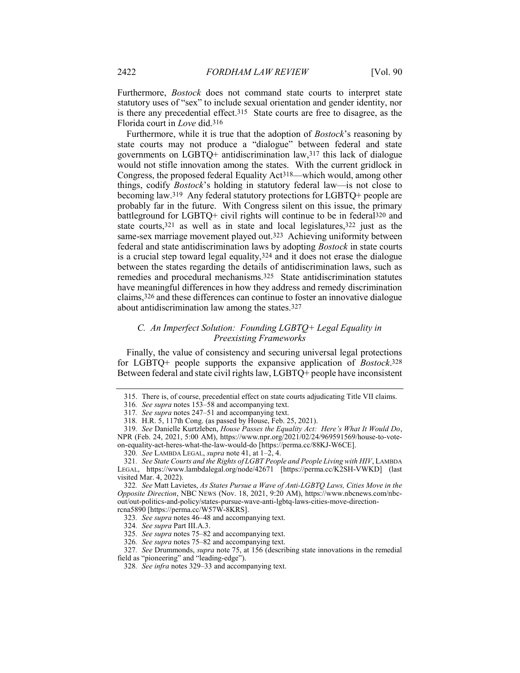Furthermore, Bostock does not command state courts to interpret state statutory uses of "sex" to include sexual orientation and gender identity, nor is there any precedential effect.315 State courts are free to disagree, as the Florida court in Love did.316

Furthermore, while it is true that the adoption of *Bostock*'s reasoning by state courts may not produce a "dialogue" between federal and state governments on LGBTQ+ antidiscrimination law,317 this lack of dialogue would not stifle innovation among the states. With the current gridlock in Congress, the proposed federal Equality Act318—which would, among other things, codify Bostock's holding in statutory federal law—is not close to becoming law.319 Any federal statutory protections for LGBTQ+ people are probably far in the future. With Congress silent on this issue, the primary battleground for LGBTQ+ civil rights will continue to be in federal320 and state courts,321 as well as in state and local legislatures,322 just as the same-sex marriage movement played out.323 Achieving uniformity between federal and state antidiscrimination laws by adopting Bostock in state courts is a crucial step toward legal equality,324 and it does not erase the dialogue between the states regarding the details of antidiscrimination laws, such as remedies and procedural mechanisms.325 State antidiscrimination statutes have meaningful differences in how they address and remedy discrimination claims,326 and these differences can continue to foster an innovative dialogue about antidiscrimination law among the states.327

## C. An Imperfect Solution: Founding LGBTQ+ Legal Equality in Preexisting Frameworks

Finally, the value of consistency and securing universal legal protections for LGBTQ+ people supports the expansive application of *Bostock*.328 Between federal and state civil rights law, LGBTQ+ people have inconsistent

 <sup>315.</sup> There is, of course, precedential effect on state courts adjudicating Title VII claims.

<sup>316</sup>. See supra notes 153–58 and accompanying text.

<sup>317</sup>. See supra notes 247–51 and accompanying text.

<sup>318</sup>. H.R. 5, 117th Cong. (as passed by House, Feb. 25, 2021).

<sup>319</sup>. See Danielle Kurtzleben, House Passes the Equality Act: Here's What It Would Do, NPR (Feb. 24, 2021, 5:00 AM), https://www.npr.org/2021/02/24/969591569/house-to-voteon-equality-act-heres-what-the-law-would-do [https://perma.cc/88KJ-W6CE].

<sup>320.</sup> See LAMBDA LEGAL, supra note 41, at  $1-\overline{2}$ , 4.

<sup>321</sup>. See State Courts and the Rights of LGBT People and People Living with HIV, LAMBDA LEGAL, https://www.lambdalegal.org/node/42671 [https://perma.cc/K2SH-VWKD] (last visited Mar. 4, 2022).

<sup>322</sup>. See Matt Lavietes, As States Pursue a Wave of Anti-LGBTQ Laws, Cities Move in the Opposite Direction, NBC NEWS (Nov. 18, 2021, 9:20 AM), https://www.nbcnews.com/nbcout/out-politics-and-policy/states-pursue-wave-anti-lgbtq-laws-cities-move-directionrcna5890 [https://perma.cc/W57W-8KRS].

<sup>323</sup>. See supra notes 46–48 and accompanying text.

<sup>324</sup>. See supra Part III.A.3.

<sup>325</sup>. See supra notes 75–82 and accompanying text.

<sup>326</sup>. See supra notes 75–82 and accompanying text.

<sup>327</sup>. See Drummonds, supra note 75, at 156 (describing state innovations in the remedial field as "pioneering" and "leading-edge").

<sup>328</sup>. See infra notes 329–33 and accompanying text.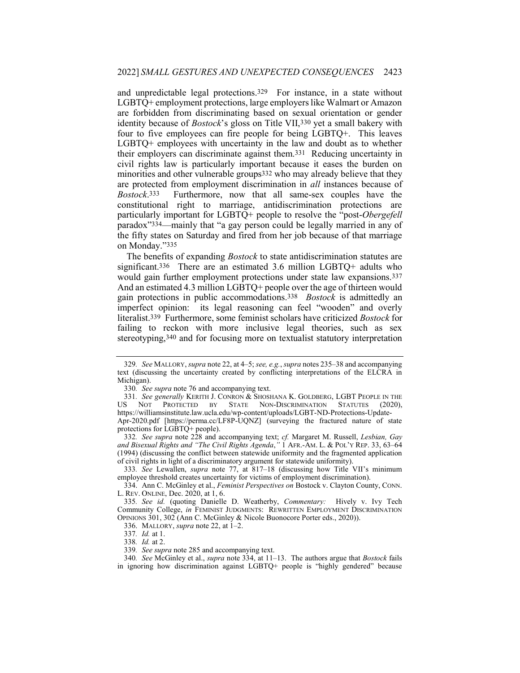and unpredictable legal protections.329 For instance, in a state without LGBTQ+ employment protections, large employers like Walmart or Amazon are forbidden from discriminating based on sexual orientation or gender identity because of Bostock's gloss on Title VII,330 yet a small bakery with four to five employees can fire people for being LGBTQ+. This leaves LGBTQ+ employees with uncertainty in the law and doubt as to whether their employers can discriminate against them.331 Reducing uncertainty in civil rights law is particularly important because it eases the burden on minorities and other vulnerable groups332 who may already believe that they are protected from employment discrimination in all instances because of Bostock.333 Furthermore, now that all same-sex couples have the constitutional right to marriage, antidiscrimination protections are particularly important for LGBTQ+ people to resolve the "post-Obergefell paradox"334—mainly that "a gay person could be legally married in any of the fifty states on Saturday and fired from her job because of that marriage on Monday."335

The benefits of expanding Bostock to state antidiscrimination statutes are significant.336 There are an estimated 3.6 million LGBTQ+ adults who would gain further employment protections under state law expansions.337 And an estimated 4.3 million LGBTQ+ people over the age of thirteen would gain protections in public accommodations.338 Bostock is admittedly an imperfect opinion: its legal reasoning can feel "wooden" and overly literalist.339 Furthermore, some feminist scholars have criticized Bostock for failing to reckon with more inclusive legal theories, such as sex stereotyping,340 and for focusing more on textualist statutory interpretation

333. See Lewallen, supra note 77, at 817–18 (discussing how Title VII's minimum employee threshold creates uncertainty for victims of employment discrimination).

334. Ann C. McGinley et al., Feminist Perspectives on Bostock v. Clayton County, CONN. L. REV. ONLINE, Dec. 2020, at 1, 6.

<sup>329.</sup> See MALLORY, supra note 22, at 4–5; see, e.g., supra notes 235–38 and accompanying text (discussing the uncertainty created by conflicting interpretations of the ELCRA in Michigan).

<sup>330.</sup> See supra note 76 and accompanying text.

<sup>331.</sup> See generally KERITH J. CONRON & SHOSHANA K. GOLDBERG, LGBT PEOPLE IN THE US NOT PROTECTED BY STATE NON-DISCRIMINATION STATUTES (2020), https://williamsinstitute.law.ucla.edu/wp-content/uploads/LGBT-ND-Protections-Update-Apr-2020.pdf [https://perma.cc/LF8P-UQNZ] (surveying the fractured nature of state

protections for LGBTQ+ people). 332. See supra note  $228$  and accompanying text; cf. Margaret M. Russell, Lesbian, Gay and Bisexual Rights and "The Civil Rights Agenda," 1 AFR.-AM. L. & POL'Y REP. 33, 63-64 (1994) (discussing the conflict between statewide uniformity and the fragmented application of civil rights in light of a discriminatory argument for statewide uniformity).

<sup>335</sup>. See id. (quoting Danielle D. Weatherby, Commentary: Hively v. Ivy Tech Community College, in FEMINIST JUDGMENTS: REWRITTEN EMPLOYMENT DISCRIMINATION OPINIONS 301, 302 (Ann C. McGinley & Nicole Buonocore Porter eds., 2020)).

 <sup>336.</sup> MALLORY, supra note 22, at 1–2.

<sup>337</sup>. Id. at 1.

<sup>338</sup>. Id. at 2.

<sup>339</sup>. See supra note 285 and accompanying text.

<sup>340.</sup> See McGinley et al., *supra* note 334, at  $11-13$ . The authors argue that *Bostock* fails in ignoring how discrimination against LGBTQ+ people is "highly gendered" because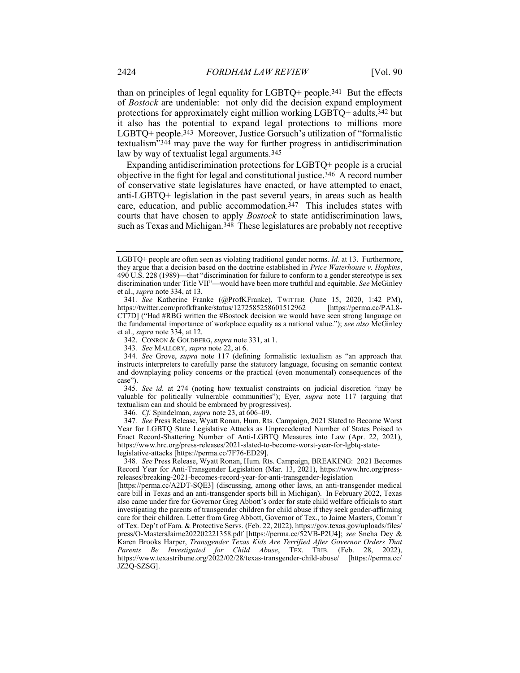than on principles of legal equality for LGBTQ+ people.341 But the effects of Bostock are undeniable: not only did the decision expand employment protections for approximately eight million working LGBTQ+ adults,342 but it also has the potential to expand legal protections to millions more LGBTQ+ people.343 Moreover, Justice Gorsuch's utilization of "formalistic textualism"344 may pave the way for further progress in antidiscrimination law by way of textualist legal arguments.345

Expanding antidiscrimination protections for LGBTQ+ people is a crucial objective in the fight for legal and constitutional justice.346 A record number of conservative state legislatures have enacted, or have attempted to enact, anti-LGBTQ+ legislation in the past several years, in areas such as health care, education, and public accommodation.<sup>347</sup> This includes states with courts that have chosen to apply Bostock to state antidiscrimination laws, such as Texas and Michigan.348 These legislatures are probably not receptive

342. CONRON & GOLDBERG, supra note 331, at 1.

345. See id. at 274 (noting how textualist constraints on judicial discretion "may be valuable for politically vulnerable communities"); Eyer, supra note 117 (arguing that textualism can and should be embraced by progressives).

346. Cf. Spindelman, supra note 23, at 606–09.

347. See Press Release, Wyatt Ronan, Hum. Rts. Campaign, 2021 Slated to Become Worst Year for LGBTQ State Legislative Attacks as Unprecedented Number of States Poised to Enact Record-Shattering Number of Anti-LGBTQ Measures into Law (Apr. 22, 2021), https://www.hrc.org/press-releases/2021-slated-to-become-worst-year-for-lgbtq-statelegislative-attacks [https://perma.cc/7F76-ED29].

348. See Press Release, Wyatt Ronan, Hum. Rts. Campaign, BREAKING: 2021 Becomes Record Year for Anti-Transgender Legislation (Mar. 13, 2021), https://www.hrc.org/pressreleases/breaking-2021-becomes-record-year-for-anti-transgender-legislation

[https://perma.cc/A2DT-SQE3] (discussing, among other laws, an anti-transgender medical care bill in Texas and an anti-transgender sports bill in Michigan). In February 2022, Texas also came under fire for Governor Greg Abbott's order for state child welfare officials to start investigating the parents of transgender children for child abuse if they seek gender-affirming care for their children. Letter from Greg Abbott, Governor of Tex., to Jaime Masters, Comm'r of Tex. Dep't of Fam. & Protective Servs. (Feb. 22, 2022), https://gov.texas.gov/uploads/files/ press/O-MastersJaime202202221358.pdf [https://perma.cc/52VB-P2U4]; see Sneha Dey & Karen Brooks Harper, Transgender Texas Kids Are Terrified After Governor Orders That Parents Be Investigated for Child Abuse, TEX. TRIB. (Feb. 28, 2022), https://www.texastribune.org/2022/02/28/texas-transgender-child-abuse/ [https://perma.cc/ JZ2Q-SZSG].

LGBTQ+ people are often seen as violating traditional gender norms. *Id.* at 13. Furthermore, they argue that a decision based on the doctrine established in Price Waterhouse v. Hopkins, 490 U.S. 228 (1989)—that "discrimination for failure to conform to a gender stereotype is sex discrimination under Title VII"—would have been more truthful and equitable. See McGinley et al., supra note 334, at 13.

<sup>341.</sup> See Katherine Franke (@ProfKFranke), TWITTER (June 15, 2020, 1:42 PM), tps://twitter.com/profkfranke/status/1272585258601512962 [https://perma.cc/PAL8https://twitter.com/profkfranke/status/1272585258601512962 CT7D] ("Had #RBG written the #Bostock decision we would have seen strong language on the fundamental importance of workplace equality as a national value."); see also McGinley et al., supra note 334, at 12.

<sup>343</sup>. See MALLORY, supra note 22, at 6.

<sup>344</sup>. See Grove, supra note 117 (defining formalistic textualism as "an approach that instructs interpreters to carefully parse the statutory language, focusing on semantic context and downplaying policy concerns or the practical (even monumental) consequences of the case").